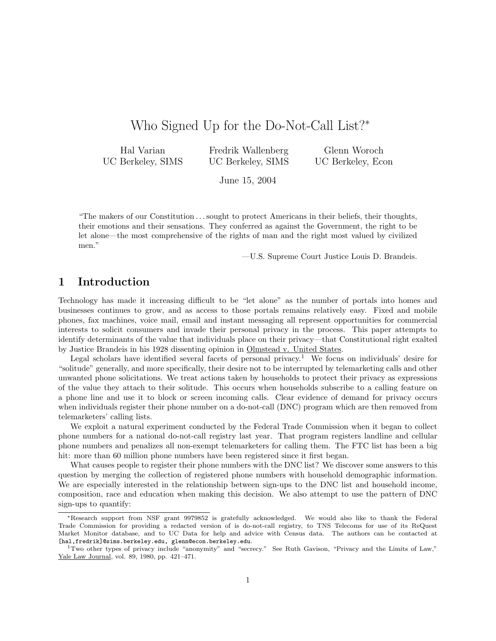# Who Signed Up for the Do-Not-Call List?<sup>∗</sup>

Hal Varian UC Berkeley, SIMS Fredrik Wallenberg UC Berkeley, SIMS

Glenn Woroch UC Berkeley, Econ

June 15, 2004

"The makers of our Constitution . . . sought to protect Americans in their beliefs, their thoughts, their emotions and their sensations. They conferred as against the Government, the right to be let alone—the most comprehensive of the rights of man and the right most valued by civilized men."

—U.S. Supreme Court Justice Louis D. Brandeis.

### 1 Introduction

Technology has made it increasing difficult to be "let alone" as the number of portals into homes and businesses continues to grow, and as access to those portals remains relatively easy. Fixed and mobile phones, fax machines, voice mail, email and instant messaging all represent opportunities for commercial interests to solicit consumers and invade their personal privacy in the process. This paper attempts to identify determinants of the value that individuals place on their privacy—that Constitutional right exalted by Justice Brandeis in his 1928 dissenting opinion in Olmstead v. United States.

Legal scholars have identified several facets of personal privacy.<sup>1</sup> We focus on individuals' desire for "solitude" generally, and more specifically, their desire not to be interrupted by telemarketing calls and other unwanted phone solicitations. We treat actions taken by households to protect their privacy as expressions of the value they attach to their solitude. This occurs when households subscribe to a calling feature on a phone line and use it to block or screen incoming calls. Clear evidence of demand for privacy occurs when individuals register their phone number on a do-not-call (DNC) program which are then removed from telemarketers' calling lists.

We exploit a natural experiment conducted by the Federal Trade Commission when it began to collect phone numbers for a national do-not-call registry last year. That program registers landline and cellular phone numbers and penalizes all non-exempt telemarketers for calling them. The FTC list has been a big hit: more than 60 million phone numbers have been registered since it first began.

What causes people to register their phone numbers with the DNC list? We discover some answers to this question by merging the collection of registered phone numbers with household demographic information. We are especially interested in the relationship between sign-ups to the DNC list and household income, composition, race and education when making this decision. We also attempt to use the pattern of DNC sign-ups to quantify:

<sup>∗</sup>Research support from NSF grant 9979852 is gratefully acknowledged. We would also like to thank the Federal Trade Commission for providing a redacted version of is do-not-call registry, to TNS Telecoms for use of its ReQuest Market Monitor database, and to UC Data for help and advice with Census data. The authors can be contacted at [hal,fredrik]@sims.berkeley.edu, glenn@econ.berkeley.edu.

<sup>1</sup>Two other types of privacy include "anonymity" and "secrecy." See Ruth Gavison, "Privacy and the Limits of Law," Yale Law Journal, vol. 89, 1980, pp. 421–471.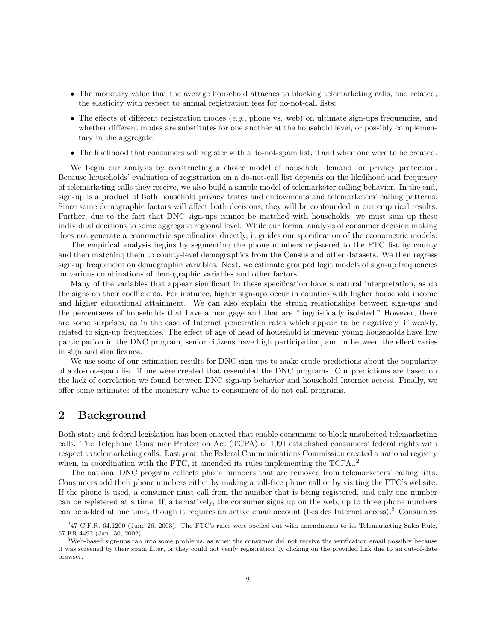- The monetary value that the average household attaches to blocking telemarketing calls, and related, the elasticity with respect to annual registration fees for do-not-call lists;
- The effects of different registration modes (e.g., phone vs. web) on ultimate sign-ups frequencies, and whether different modes are substitutes for one another at the household level, or possibly complementary in the aggregate;
- The likelihood that consumers will register with a do-not-spam list, if and when one were to be created.

We begin our analysis by constructing a choice model of household demand for privacy protection. Because households' evaluation of registration on a do-not-call list depends on the likelihood and frequency of telemarketing calls they receive, we also build a simple model of telemarketer calling behavior. In the end, sign-up is a product of both household privacy tastes and endowments and telemarketers' calling patterns. Since some demographic factors will affect both decisions, they will be confounded in our empirical results. Further, due to the fact that DNC sign-ups cannot be matched with households, we must sum up these individual decisions to some aggregate regional level. While our formal analysis of consumer decision making does not generate a econometric specification directly, it guides our specification of the econometric models.

The empirical analysis begins by segmenting the phone numbers registered to the FTC list by county and then matching them to county-level demographics from the Census and other datasets. We then regress sign-up frequencies on demographic variables. Next, we estimate grouped logit models of sign-up frequencies on various combinations of demographic variables and other factors.

Many of the variables that appear significant in these specification have a natural interpretation, as do the signs on their coefficients. For instance, higher sign-ups occur in counties with higher household income and higher educational attainment. We can also explain the strong relationships between sign-ups and the percentages of households that have a mortgage and that are "linguistically isolated." However, there are some surprises, as in the case of Internet penetration rates which appear to be negatively, if weakly, related to sign-up frequencies. The effect of age of head of household is uneven: young households have low participation in the DNC program, senior citizens have high participation, and in between the effect varies in sign and significance.

We use some of our estimation results for DNC sign-ups to make crude predictions about the popularity of a do-not-spam list, if one were created that resembled the DNC programs. Our predictions are based on the lack of correlation we found between DNC sign-up behavior and household Internet access. Finally, we offer some estimates of the monetary value to consumers of do-not-call programs.

### 2 Background

Both state and federal legislation has been enacted that enable consumers to block unsolicited telemarketing calls. The Telephone Consumer Protection Act (TCPA) of 1991 established consumers' federal rights with respect to telemarketing calls. Last year, the Federal Communications Commission created a national registry when, in coordination with the FTC, it amended its rules implementing the TCPA..<sup>2</sup>

The national DNC program collects phone numbers that are removed from telemarketers' calling lists. Consumers add their phone numbers either by making a toll-free phone call or by visiting the FTC's website. If the phone is used, a consumer must call from the number that is being registered, and only one number can be registered at a time. If, alternatively, the consumer signs up on the web, up to three phone numbers can be added at one time, though it requires an active email account (besides Internet access).<sup>3</sup> Consumers

<sup>2</sup>47 C.F.R. 64.1200 (June 26, 2003). The FTC's rules were spelled out with amendments to its Telemarketing Sales Rule, 67 FR 4492 (Jan. 30, 2002).

<sup>3</sup>Web-based sign-ups ran into some problems, as when the consumer did not receive the verification email possibly because it was screened by their spam filter, or they could not verify registration by clicking on the provided link due to an out-of-date browser.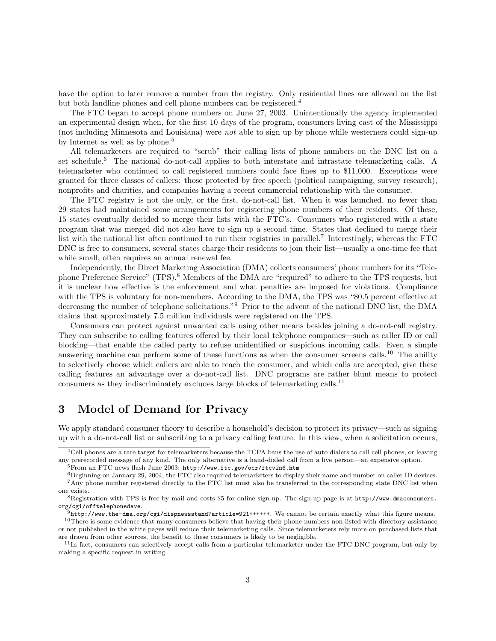have the option to later remove a number from the registry. Only residential lines are allowed on the list but both landline phones and cell phone numbers can be registered.<sup>4</sup>

The FTC began to accept phone numbers on June 27, 2003. Unintentionally the agency implemented an experimental design when, for the first 10 days of the program, consumers living east of the Mississippi (not including Minnesota and Louisiana) were not able to sign up by phone while westerners could sign-up by Internet as well as by phone.<sup>5</sup>

All telemarketers are required to "scrub" their calling lists of phone numbers on the DNC list on a set schedule.<sup>6</sup> The national do-not-call applies to both interstate and intrastate telemarketing calls. A telemarketer who continued to call registered numbers could face fines up to \$11,000. Exceptions were granted for three classes of callers: those protected by free speech (political campaigning, survey research), nonprofits and charities, and companies having a recent commercial relationship with the consumer.

The FTC registry is not the only, or the first, do-not-call list. When it was launched, no fewer than 29 states had maintained some arrangements for registering phone numbers of their residents. Of these, 15 states eventually decided to merge their lists with the FTC's. Consumers who registered with a state program that was merged did not also have to sign up a second time. States that declined to merge their list with the national list often continued to run their registries in parallel.<sup>7</sup> Interestingly, whereas the FTC DNC is free to consumers, several states charge their residents to join their list—usually a one-time fee that while small, often requires an annual renewal fee.

Independently, the Direct Marketing Association (DMA) collects consumers' phone numbers for its "Telephone Preference Service" (TPS).<sup>8</sup> Members of the DMA are "required" to adhere to the TPS requests, but it is unclear how effective is the enforcement and what penalties are imposed for violations. Compliance with the TPS is voluntary for non-members. According to the DMA, the TPS was "80.5 percent effective at decreasing the number of telephone solicitations."<sup>9</sup> Prior to the advent of the national DNC list, the DMA claims that approximately 7.5 million individuals were registered on the TPS.

Consumers can protect against unwanted calls using other means besides joining a do-not-call registry. They can subscribe to calling features offered by their local telephone companies—such as caller ID or call blocking—that enable the called party to refuse unidentified or suspicious incoming calls. Even a simple answering machine can perform some of these functions as when the consumer screens calls.<sup>10</sup> The ability to selectively choose which callers are able to reach the consumer, and which calls are accepted, give these calling features an advantage over a do-not-call list. DNC programs are rather blunt means to protect consumers as they indiscriminately excludes large blocks of telemarketing calls.<sup>11</sup>

### 3 Model of Demand for Privacy

We apply standard consumer theory to describe a household's decision to protect its privacy—such as signing up with a do-not-call list or subscribing to a privacy calling feature. In this view, when a solicitation occurs,

 $4$ Cell phones are a rare target for telemarketers because the TCPA bans the use of auto dialers to call cell phones, or leaving any prerecorded message of any kind. The only alternative is a hand-dialed call from a live person—an expensive option.

<sup>5</sup>From an FTC news flash June 2003: http://www.ftc.gov/ocr/ftcv2n6.htm

 $6$ Beginning on January 29, 2004, the FTC also required telemarketers to display their name and number on caller ID devices. <sup>7</sup>Any phone number registered directly to the FTC list must also be transferred to the corresponding state DNC list when

one exists.

 $8$ Registration with TPS is free by mail and costs \$5 for online sign-up. The sign-up page is at  $http://www.dmaconsumers.$ org/cgi/offtelephonedave.

 $^9$ http://www.the-dma.org/cgi/dispnewsstand?article=921++++++. We cannot be certain exactly what this figure means.

 $10$ There is some evidence that many consumers believe that having their phone numbers non-listed with directory assistance or not published in the white pages will reduce their telemarketing calls. Since telemarketers rely more on purchased lists that are drawn from other sources, the benefit to these consumers is likely to be negligible.

 $11$ In fact, consumers can selectively accept calls from a particular telemarketer under the FTC DNC program, but only by making a specific request in writing.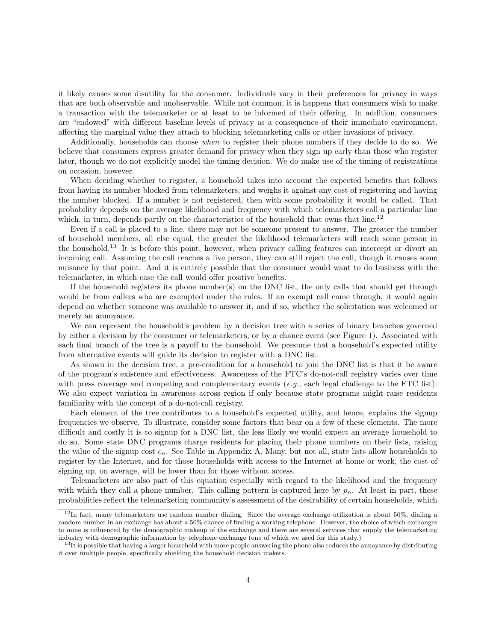it likely causes some disutility for the consumer. Individuals vary in their preferences for privacy in ways that are both observable and unobservable. While not common, it is happens that consumers wish to make a transaction with the telemarketer or at least to be informed of their offering. In addition, consumers are "endowed" with different baseline levels of privacy as a consequence of their immediate environment, affecting the marginal value they attach to blocking telemarketing calls or other invasions of privacy.

Additionally, households can choose when to register their phone numbers if they decide to do so. We believe that consumers express greater demand for privacy when they sign up early than those who register later, though we do not explicitly model the timing decision. We do make use of the timing of registrations on occasion, however.

When deciding whether to register, a household takes into account the expected benefits that follows from having its number blocked from telemarketers, and weighs it against any cost of registering and having the number blocked. If a number is not registered, then with some probability it would be called. That probability depends on the average likelihood and frequency with which telemarketers call a particular line which, in turn, depends partly on the characteristics of the household that owns that line.<sup>12</sup>

Even if a call is placed to a line, there may not be someone present to answer. The greater the number of household members, all else equal, the greater the likelihood telemarketers will reach some person in the household.<sup>13</sup> It is before this point, however, when privacy calling features can intercept or divert an incoming call. Assuming the call reaches a live person, they can still reject the call, though it causes some nuisance by that point. And it is entirely possible that the consumer would want to do business with the telemarketer, in which case the call would offer positive benefits.

If the household registers its phone number(s) on the DNC list, the only calls that should get through would be from callers who are exempted under the rules. If an exempt call came through, it would again depend on whether someone was available to answer it, and if so, whether the solicitation was welcomed or merely an annoyance.

We can represent the household's problem by a decision tree with a series of binary branches governed by either a decision by the consumer or telemarketers, or by a chance event (see Figure 1). Associated with each final branch of the tree is a payoff to the household. We presume that a household's expected utility from alternative events will guide its decision to register with a DNC list.

As shown in the decision tree, a pre-condition for a household to join the DNC list is that it be aware of the program's existence and effectiveness. Awareness of the FTC's do-not-call registry varies over time with press coverage and competing and complementary events  $(e.g., each legal challenge to the FTC list)$ . We also expect variation in awareness across region if only because state programs might raise residents familiarity with the concept of a do-not-call registry.

Each element of the tree contributes to a household's expected utility, and hence, explains the signup frequencies we observe. To illustrate, consider some factors that bear on a few of these elements. The more difficult and costly it is to signup for a DNC list, the less likely we would expect an average household to do so. Some state DNC programs charge residents for placing their phone numbers on their lists, raising the value of the signup cost  $c_n$ . See Table in Appendix A. Many, but not all, state lists allow households to register by the Internet, and for those households with access to the Internet at home or work, the cost of signing up, on average, will be lower than for those without access.

Telemarketers are also part of this equation especially with regard to the likelihood and the frequency with which they call a phone number. This calling pattern is captured here by  $p_n$ . At least in part, these probabilities reflect the telemarketing community's assessment of the desirability of certain households, which

<sup>&</sup>lt;sup>12</sup>In fact, many telemarketers use random number dialing. Since the average exchange utilization is about 50%, dialing a random number in an exchange has about a 50% chance of finding a working telephone. However, the choice of which exchanges to mine is influenced by the demographic makeup of the exchange and there are several services that supply the telemarketing industry with demographic information by telephone exchange (one of which we used for this study.)

 $13$ It is possible that having a larger household with more people answering the phone also reduces the annoyance by distributing it over multiple people, specifically shielding the household decision makers.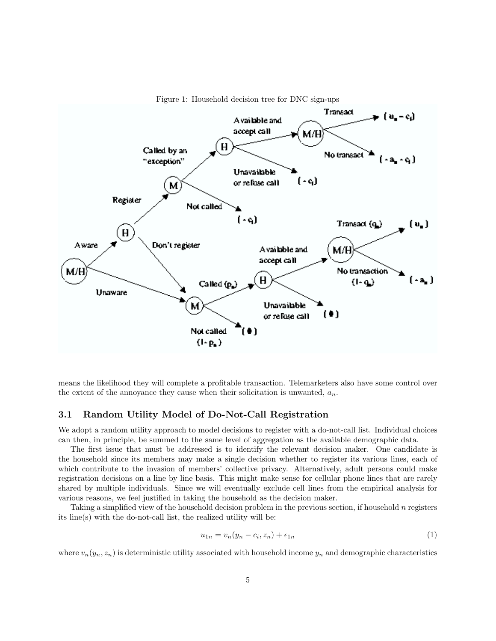

Figure 1: Household decision tree for DNC sign-ups

means the likelihood they will complete a profitable transaction. Telemarketers also have some control over the extent of the annoyance they cause when their solicitation is unwanted,  $a_n$ .

#### 3.1 Random Utility Model of Do-Not-Call Registration

We adopt a random utility approach to model decisions to register with a do-not-call list. Individual choices can then, in principle, be summed to the same level of aggregation as the available demographic data.

The first issue that must be addressed is to identify the relevant decision maker. One candidate is the household since its members may make a single decision whether to register its various lines, each of which contribute to the invasion of members' collective privacy. Alternatively, adult persons could make registration decisions on a line by line basis. This might make sense for cellular phone lines that are rarely shared by multiple individuals. Since we will eventually exclude cell lines from the empirical analysis for various reasons, we feel justified in taking the household as the decision maker.

Taking a simplified view of the household decision problem in the previous section, if household n registers its line(s) with the do-not-call list, the realized utility will be:

$$
u_{1n} = v_n(y_n - c_i, z_n) + \epsilon_{1n} \tag{1}
$$

where  $v_n(y_n, z_n)$  is deterministic utility associated with household income  $y_n$  and demographic characteristics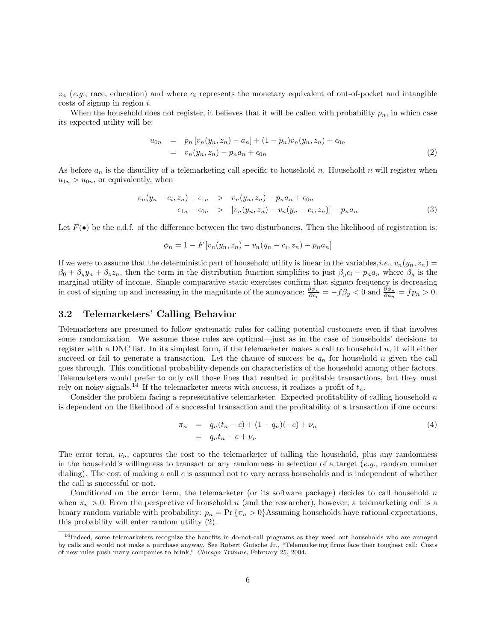$z_n$  (e.g., race, education) and where  $c_i$  represents the monetary equivalent of out-of-pocket and intangible costs of signup in region i.

When the household does not register, it believes that it will be called with probability  $p_n$ , in which case its expected utility will be:

$$
u_{0n} = p_n [v_n(y_n, z_n) - a_n] + (1 - p_n)v_n(y_n, z_n) + \epsilon_{0n}
$$
  
=  $v_n(y_n, z_n) - p_n a_n + \epsilon_{0n}$  (2)

As before  $a_n$  is the disutility of a telemarketing call specific to household n. Household n will register when  $u_{1n} > u_{0n}$ , or equivalently, when

$$
v_n(y_n - c_i, z_n) + \epsilon_{1n} > v_n(y_n, z_n) - p_n a_n + \epsilon_{0n}
$$
  

$$
\epsilon_{1n} - \epsilon_{0n} > [v_n(y_n, z_n) - v_n(y_n - c_i, z_n)] - p_n a_n
$$
 (3)

Let  $F(\bullet)$  be the c.d.f. of the difference between the two disturbances. Then the likelihood of registration is:

$$
\phi_n = 1 - F[v_n(y_n, z_n) - v_n(y_n - c_i, z_n) - p_n a_n]
$$

If we were to assume that the deterministic part of household utility is linear in the variables, *i.e.*,  $v_n(y_n, z_n) =$  $\beta_0 + \beta_uy_n + \beta_z z_n$ , then the term in the distribution function simplifies to just  $\beta_yc_i - p_na_n$ , where  $\beta_y$  is the marginal utility of income. Simple comparative static exercises confirm that signup frequency is decreasing in cost of signing up and increasing in the magnitude of the annoyance:  $\frac{\partial \phi_n}{\partial c_i} = -f\beta_y < 0$  and  $\frac{\partial \phi_n}{\partial a_n} = fp_n > 0$ .

#### 3.2 Telemarketers' Calling Behavior

Telemarketers are presumed to follow systematic rules for calling potential customers even if that involves some randomization. We assume these rules are optimal—just as in the case of households' decisions to register with a DNC list. In its simplest form, if the telemarketer makes a call to household n, it will either succeed or fail to generate a transaction. Let the chance of success be  $q_n$  for household n given the call goes through. This conditional probability depends on characteristics of the household among other factors. Telemarketers would prefer to only call those lines that resulted in profitable transactions, but they must rely on noisy signals.<sup>14</sup> If the telemarketer meets with success, it realizes a profit of  $t_n$ .

Consider the problem facing a representative telemarketer. Expected profitability of calling household  $n$ is dependent on the likelihood of a successful transaction and the profitability of a transaction if one occurs:

$$
\pi_n = q_n(t_n - c) + (1 - q_n)(-c) + \nu_n \n= q_n t_n - c + \nu_n
$$
\n(4)

The error term,  $\nu_n$ , captures the cost to the telemarketer of calling the household, plus any randomness in the household's willingness to transact or any randomness in selection of a target  $(e.g.,$  random number dialing). The cost of making a call  $c$  is assumed not to vary across households and is independent of whether the call is successful or not.

Conditional on the error term, the telemarketer (or its software package) decides to call household  $n$ when  $\pi_n > 0$ . From the perspective of household n (and the researcher), however, a telemarketing call is a binary random variable with probability:  $p_n = \Pr{\pi_n > 0}$  Assuming households have rational expectations, this probability will enter random utility (2).

<sup>14</sup>Indeed, some telemarketers recognize the benefits in do-not-call programs as they weed out households who are annoyed by calls and would not make a purchase anyway. See Robert Gutsche Jr., "Telemarketing firms face their toughest call: Costs of new rules push many companies to brink," Chicago Tribune, February 25, 2004.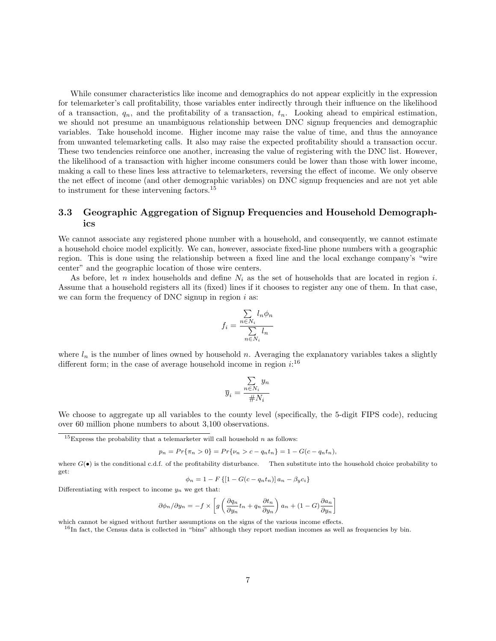While consumer characteristics like income and demographics do not appear explicitly in the expression for telemarketer's call profitability, those variables enter indirectly through their influence on the likelihood of a transaction,  $q_n$ , and the profitability of a transaction,  $t_n$ . Looking ahead to empirical estimation, we should not presume an unambiguous relationship between DNC signup frequencies and demographic variables. Take household income. Higher income may raise the value of time, and thus the annoyance from unwanted telemarketing calls. It also may raise the expected profitability should a transaction occur. These two tendencies reinforce one another, increasing the value of registering with the DNC list. However, the likelihood of a transaction with higher income consumers could be lower than those with lower income, making a call to these lines less attractive to telemarketers, reversing the effect of income. We only observe the net effect of income (and other demographic variables) on DNC signup frequencies and are not yet able to instrument for these intervening factors.<sup>15</sup>

#### 3.3 Geographic Aggregation of Signup Frequencies and Household Demographics

We cannot associate any registered phone number with a household, and consequently, we cannot estimate a household choice model explicitly. We can, however, associate fixed-line phone numbers with a geographic region. This is done using the relationship between a fixed line and the local exchange company's "wire center" and the geographic location of those wire centers.

As before, let n index households and define  $N_i$  as the set of households that are located in region i. Assume that a household registers all its (fixed) lines if it chooses to register any one of them. In that case, we can form the frequency of DNC signup in region  $i$  as:

$$
f_i = \frac{\sum_{n \in N_i} l_n \phi_n}{\sum_{n \in N_i} l_n}
$$

where  $l_n$  is the number of lines owned by household n. Averaging the explanatory variables takes a slightly different form; in the case of average household income in region  $i:^{16}$ 

$$
\overline{y}_i = \frac{\sum_{n \in N_i} y_n}{\#N_i}
$$

We choose to aggregate up all variables to the county level (specifically, the 5-digit FIPS code), reducing over 60 million phone numbers to about 3,100 observations.

<sup>15</sup>Express the probability that a telemarketer will call household n as follows:

$$
p_n = Pr\{\pi_n > 0\} = Pr\{\nu_n > c - q_n t_n\} = 1 - G(c - q_n t_n),
$$

where  $G(\bullet)$  is the conditional c.d.f. of the profitability disturbance. Then substitute into the household choice probability to get:

$$
\phi_n = 1 - F\left\{ [1 - G(c - q_n t_n)] a_n - \beta_y c_i \right\}
$$

Differentiating with respect to income  $y_n$  we get that:

$$
\partial \phi_n / \partial y_n = -f \times \left[ g \left( \frac{\partial q_n}{\partial y_n} t_n + q_n \frac{\partial t_n}{\partial y_n} \right) a_n + (1 - G) \frac{\partial a_n}{\partial y_n} \right]
$$

which cannot be signed without further assumptions on the signs of the various income effects.

<sup>16</sup>In fact, the Census data is collected in "bins" although they report median incomes as well as frequencies by bin.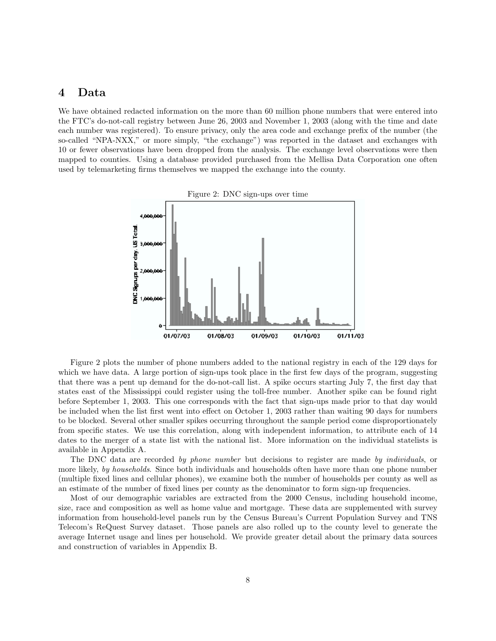### 4 Data

We have obtained redacted information on the more than 60 million phone numbers that were entered into the FTC's do-not-call registry between June 26, 2003 and November 1, 2003 (along with the time and date each number was registered). To ensure privacy, only the area code and exchange prefix of the number (the so-called "NPA-NXX," or more simply, "the exchange") was reported in the dataset and exchanges with 10 or fewer observations have been dropped from the analysis. The exchange level observations were then mapped to counties. Using a database provided purchased from the Mellisa Data Corporation one often used by telemarketing firms themselves we mapped the exchange into the county.





Figure 2 plots the number of phone numbers added to the national registry in each of the 129 days for which we have data. A large portion of sign-ups took place in the first few days of the program, suggesting that there was a pent up demand for the do-not-call list. A spike occurs starting July 7, the first day that states east of the Mississippi could register using the toll-free number. Another spike can be found right before September 1, 2003. This one corresponds with the fact that sign-ups made prior to that day would be included when the list first went into effect on October 1, 2003 rather than waiting 90 days for numbers to be blocked. Several other smaller spikes occurring throughout the sample period come disproportionately from specific states. We use this correlation, along with independent information, to attribute each of 14 dates to the merger of a state list with the national list. More information on the individual statelists is available in Appendix A.

The DNC data are recorded by phone number but decisions to register are made by individuals, or more likely, by households. Since both individuals and households often have more than one phone number (multiple fixed lines and cellular phones), we examine both the number of households per county as well as an estimate of the number of fixed lines per county as the denominator to form sign-up frequencies.

Most of our demographic variables are extracted from the 2000 Census, including household income, size, race and composition as well as home value and mortgage. These data are supplemented with survey information from household-level panels run by the Census Bureau's Current Population Survey and TNS Telecom's ReQuest Survey dataset. Those panels are also rolled up to the county level to generate the average Internet usage and lines per household. We provide greater detail about the primary data sources and construction of variables in Appendix B.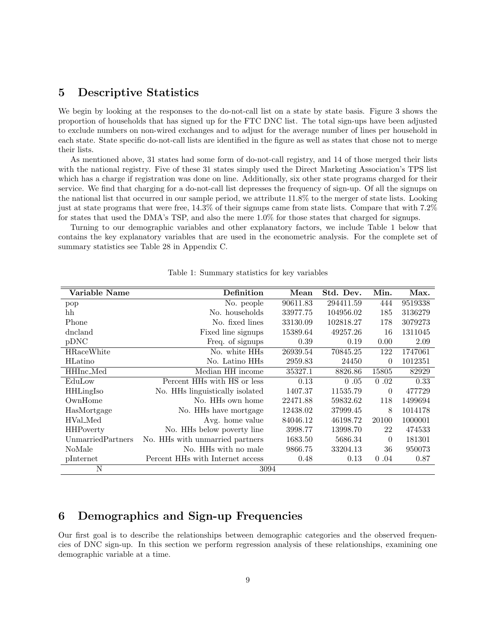## 5 Descriptive Statistics

We begin by looking at the responses to the do-not-call list on a state by state basis. Figure 3 shows the proportion of households that has signed up for the FTC DNC list. The total sign-ups have been adjusted to exclude numbers on non-wired exchanges and to adjust for the average number of lines per household in each state. State specific do-not-call lists are identified in the figure as well as states that chose not to merge their lists.

As mentioned above, 31 states had some form of do-not-call registry, and 14 of those merged their lists with the national registry. Five of these 31 states simply used the Direct Marketing Association's TPS list which has a charge if registration was done on line. Additionally, six other state programs charged for their service. We find that charging for a do-not-call list depresses the frequency of sign-up. Of all the signups on the national list that occurred in our sample period, we attribute 11.8% to the merger of state lists. Looking just at state programs that were free, 14.3% of their signups came from state lists. Compare that with 7.2% for states that used the DMA's TSP, and also the mere 1.0% for those states that charged for signups.

Turning to our demographic variables and other explanatory factors, we include Table 1 below that contains the key explanatory variables that are used in the econometric analysis. For the complete set of summary statistics see Table 28 in Appendix C.

| Variable Name     | Definition                       | Mean     | Std. Dev. | Min.     | Max.    |
|-------------------|----------------------------------|----------|-----------|----------|---------|
| pop               | No. people                       | 90611.83 | 294411.59 | 444      | 9519338 |
| hh                | No. households                   | 33977.75 | 104956.02 | 185      | 3136279 |
| Phone             | No. fixed lines                  | 33130.09 | 102818.27 | 178      | 3079273 |
| dncland           | Fixed line signups               | 15389.64 | 49257.26  | 16       | 1311045 |
| pDNC              | Freq. of signups                 | 0.39     | 0.19      | 0.00     | 2.09    |
| <b>HRaceWhite</b> | No. white HHs                    | 26939.54 | 70845.25  | 122      | 1747061 |
| HLatino           | No. Latino HHs                   | 2959.83  | 24450     | $\theta$ | 1012351 |
| HHInc_Med         | Median HH income                 | 35327.1  | 8826.86   | 15805    | 82929   |
| EduLow            | Percent HHs with HS or less      | 0.13     | 0.05      | 0.02     | 0.33    |
| <b>HHLingIso</b>  | No. HHs linguistically isolated  | 1407.37  | 11535.79  | $\theta$ | 477729  |
| OwnHome           | No. HHs own home                 | 22471.88 | 59832.62  | 118      | 1499694 |
| HasMortgage       | No. HHs have mortgage            | 12438.02 | 37999.45  | 8        | 1014178 |
| HVal_Med          | Avg. home value                  | 84046.12 | 46198.72  | 20100    | 1000001 |
| <b>HHP</b> overty | No. HHs below poverty line       | 3998.77  | 13998.70  | 22       | 474533  |
| UnmarriedPartners | No. HHs with unmarried partners  | 1683.50  | 5686.34   | $\Omega$ | 181301  |
| NoMale            | No. HHs with no male             | 9866.75  | 33204.13  | 36       | 950073  |
| pInternet         | Percent HHs with Internet access | 0.48     | 0.13      | 0.04     | 0.87    |
| N                 | 3094                             |          |           |          |         |

Table 1: Summary statistics for key variables

# 6 Demographics and Sign-up Frequencies

Our first goal is to describe the relationships between demographic categories and the observed frequencies of DNC sign-up. In this section we perform regression analysis of these relationships, examining one demographic variable at a time.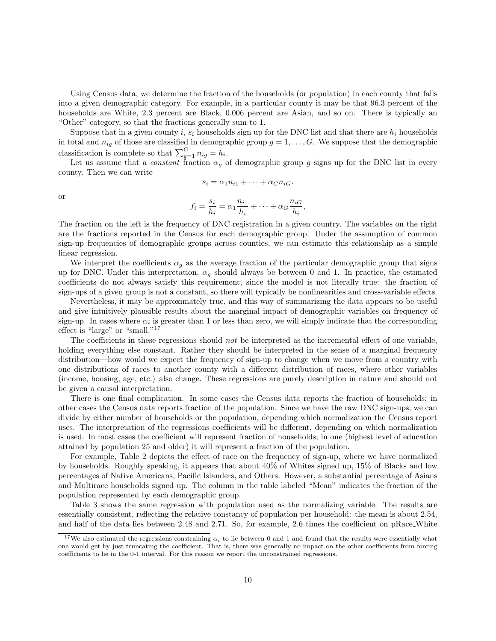Using Census data, we determine the fraction of the households (or population) in each county that falls into a given demographic category. For example, in a particular county it may be that 96.3 percent of the households are White, 2.3 percent are Black, 0.006 percent are Asian, and so on. There is typically an "Other" category, so that the fractions generally sum to 1.

Suppose that in a given county i,  $s_i$  households sign up for the DNC list and that there are  $h_i$  households in total and  $n_{iq}$  of those are classified in demographic group  $g = 1, \ldots, G$ . We suppose that the demographic classification is complete so that  $\sum_{g=1}^{G} n_{ig} = h_i$ .

Let us assume that a *constant* fraction  $\alpha_g$  of demographic group g signs up for the DNC list in every county. Then we can write

$$
s_i = \alpha_1 n_{i1} + \cdots + \alpha_G n_{iG}.
$$

or

$$
f_i = \frac{s_i}{h_i} = \alpha_1 \frac{n_{i1}}{h_i} + \dots + \alpha_G \frac{n_{iG}}{h_i},
$$

The fraction on the left is the frequency of DNC registration in a given country. The variables on the right are the fractions reported in the Census for each demographic group. Under the assumption of common sign-up frequencies of demographic groups across counties, we can estimate this relationship as a simple linear regression.

We interpret the coefficients  $\alpha_q$  as the average fraction of the particular demographic group that signs up for DNC. Under this interpretation,  $\alpha_q$  should always be between 0 and 1. In practice, the estimated coefficients do not always satisfy this requirement, since the model is not literally true: the fraction of sign-ups of a given group is not a constant, so there will typically be nonlinearities and cross-variable effects.

Nevertheless, it may be approximately true, and this way of summarizing the data appears to be useful and give intuitively plausible results about the marginal impact of demographic variables on frequency of sign-up. In cases where  $\alpha_i$  is greater than 1 or less than zero, we will simply indicate that the corresponding effect is "large" or "small."<sup>17</sup>

The coefficients in these regressions should *not* be interpreted as the incremental effect of one variable, holding everything else constant. Rather they should be interpreted in the sense of a marginal frequency distribution—how would we expect the frequency of sign-up to change when we move from a country with one distributions of races to another county with a different distribution of races, where other variables (income, housing, age, etc.) also change. These regressions are purely description in nature and should not be given a causal interpretation.

There is one final complication. In some cases the Census data reports the fraction of households; in other cases the Census data reports fraction of the population. Since we have the raw DNC sign-ups, we can divide by either number of households or the population, depending which normalization the Census report uses. The interpretation of the regressions coefficients will be different, depending on which normalization is used. In most cases the coefficient will represent fraction of households; in one (highest level of education attained by population 25 and older) it will represent a fraction of the population.

For example, Table 2 depicts the effect of race on the frequency of sign-up, where we have normalized by households. Roughly speaking, it appears that about 40% of Whites signed up, 15% of Blacks and low percentages of Native Americans, Pacific Islanders, and Others. However, a substantial percentage of Asians and Multirace households signed up. The column in the table labeled "Mean" indicates the fraction of the population represented by each demographic group.

Table 3 shows the same regression with population used as the normalizing variable. The results are essentially consistent, reflecting the relative constancy of population per household: the mean is about 2.54, and half of the data lies between 2.48 and 2.71. So, for example, 2.6 times the coefficient on pRace White

<sup>&</sup>lt;sup>17</sup>We also estimated the regressions constraining  $\alpha_i$  to lie between 0 and 1 and found that the results were essentially what one would get by just truncating the coefficient. That is, there was generally no impact on the other coefficients from forcing coefficients to lie in the 0-1 interval. For this reason we report the unconstrained regressions.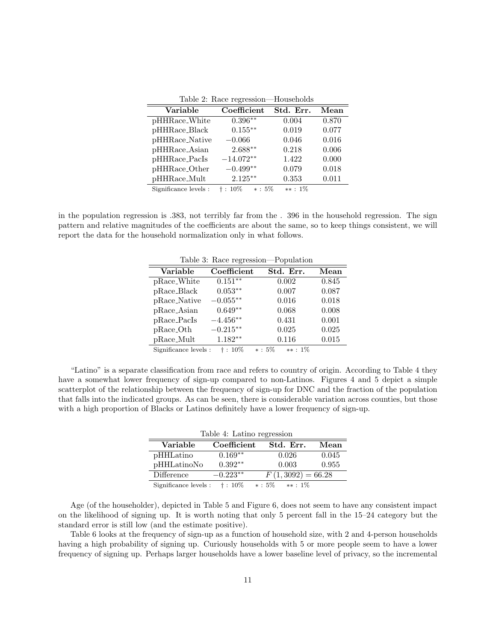Table 2: Race regression—Households

| Variable              | Coefficient         | Std. Err. | Mean  |
|-----------------------|---------------------|-----------|-------|
| pHHRace_White         | $0.396**$           | 0.004     | 0.870 |
| pHHRace_Black         | $0.155***$          | 0.019     | 0.077 |
| pHHRace_Native        | $-0.066$            | 0.046     | 0.016 |
| pHHRace_Asian         | $2.688**$           | 0.218     | 0.006 |
| pHHRace_PacIs         | $-14.072**$         | 1.422     | 0.000 |
| pHHRace_Other         | $-0.499**$          | 0.079     | 0.018 |
| pHHRace_Mult          | $2.125**$           | 0.353     | 0.011 |
| Significance levels : | $* : 5\%$<br>†: 10% | $**: 1\%$ |       |

in the population regression is .383, not terribly far from the . 396 in the household regression. The sign pattern and relative magnitudes of the coefficients are about the same, so to keep things consistent, we will report the data for the household normalization only in what follows.

| Table 3: Race regression—Population |                 |                        |       |  |
|-------------------------------------|-----------------|------------------------|-------|--|
| Variable                            | Coefficient     | Std. Err.              | Mean  |  |
| pRace_White                         | $0.151**$       | 0.002                  | 0.845 |  |
| $pRace_Black$                       | $0.053**$       | 0.007                  | 0.087 |  |
| pRace_Native                        | $-0.055**$      | 0.016                  | 0.018 |  |
| pRace_Asian                         | $0.649**$       | 0.068                  | 0.008 |  |
| pRace_PacIs                         | $-4.456**$      | 0.431                  | 0.001 |  |
| pRace_Oth                           | $-0.215***$     | 0.025                  | 0.025 |  |
| pRace_Mult                          | $1.182**$       | 0.116                  | 0.015 |  |
| Significance levels:                | $\dagger$ : 10% | $* : 5\%$<br>$**: 1\%$ |       |  |

"Latino" is a separate classification from race and refers to country of origin. According to Table 4 they have a somewhat lower frequency of sign-up compared to non-Latinos. Figures 4 and 5 depict a simple scatterplot of the relationship between the frequency of sign-up for DNC and the fraction of the population that falls into the indicated groups. As can be seen, there is considerable variation across counties, but those with a high proportion of Blacks or Latinos definitely have a lower frequency of sign-up.

| Table 4: Latino regression             |             |                       |       |  |  |
|----------------------------------------|-------------|-----------------------|-------|--|--|
| Variable                               | Coefficient | Std. Err.             | Mean  |  |  |
| pHHLatino                              | $0.169**$   | 0.026                 | 0.045 |  |  |
| pHHLatinoNo                            | $0.392**$   | 0.003                 | 0.955 |  |  |
| Difference                             | $-0.223**$  | $F(1,3092) = 66.28$   |       |  |  |
| Significance levels : $\dagger$ : 10\% |             | $**: 1\%$<br>$*: 5\%$ |       |  |  |

Age (of the householder), depicted in Table 5 and Figure 6, does not seem to have any consistent impact on the likelihood of signing up. It is worth noting that only 5 percent fall in the 15–24 category but the standard error is still low (and the estimate positive).

Table 6 looks at the frequency of sign-up as a function of household size, with 2 and 4-person households having a high probability of signing up. Curiously households with 5 or more people seem to have a lower frequency of signing up. Perhaps larger households have a lower baseline level of privacy, so the incremental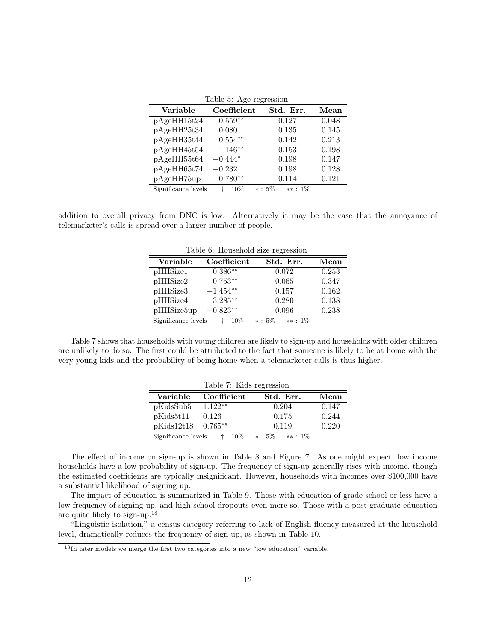| Table 5: Age regression    |                                                                |                      |       |  |  |
|----------------------------|----------------------------------------------------------------|----------------------|-------|--|--|
| Variable                   | Coefficient                                                    | Std. Err.            | Mean  |  |  |
| pAgeHH15t24                | $0.559**$                                                      | 0.127                | 0.048 |  |  |
| pAgeHH25t34                | 0.080                                                          | 0.135                | 0.145 |  |  |
| $\lambda$ TTTTOP $\lambda$ | $\cap$ $\rightarrow$ $\rightarrow$ $\rightarrow$ $\rightarrow$ | $\sim$ $\sim$ $\sim$ | 0.010 |  |  |

| pagennzoto4 | v.vov     | U. LƏƏ | U.140 |
|-------------|-----------|--------|-------|
| pAgeHH35t44 | $0.554**$ | 0.142  | 0.213 |
| pAgeHH45t54 | $1.146**$ | 0.153  | 0.198 |
| pAgeHH55t64 | $-0.444*$ | 0.198  | 0.147 |
| pAgeHH65t74 | $-0.232$  | 0.198  | 0.128 |
| pAgeHH75up  | $0.780**$ | 0.114  | 0.121 |
|             |           |        |       |

Significance levels : † : 10% ∗ : 5% ∗∗ : 1%

addition to overall privacy from DNC is low. Alternatively it may be the case that the annoyance of telemarketer's calls is spread over a larger number of people.

| Table 6: Household size regression |             |                        |                       |  |
|------------------------------------|-------------|------------------------|-----------------------|--|
| Variable                           | Coefficient | Std. Err.              | $\operatorname{Mean}$ |  |
| pHHSize1                           | $0.386**$   | 0.072                  | 0.253                 |  |
| pHHSize2                           | $0.753**$   | 0.065                  | 0.347                 |  |
| pHHSize3                           | $-1.454**$  | 0.157                  | 0.162                 |  |
| pHHSize4                           | $3.285**$   | 0.280                  | 0.138                 |  |
| pHHSize5up                         | $-0.823**$  | 0.096                  | 0.238                 |  |
| Significance levels :              | $+:10\%$    | $* : 5\%$<br>$**: 1\%$ |                       |  |

Table 7 shows that households with young children are likely to sign-up and households with older children are unlikely to do so. The first could be attributed to the fact that someone is likely to be at home with the very young kids and the probability of being home when a telemarketer calls is thus higher.

| Table 7: Kids regression |                                        |                     |       |  |  |
|--------------------------|----------------------------------------|---------------------|-------|--|--|
| Variable                 | Coefficient                            | Std. Err.           | Mean  |  |  |
| pKidsSub5                | $1.122**$                              | 0.204               | 0.147 |  |  |
| pKids5t11                | 0.126                                  | 0.175               | 0.244 |  |  |
| pKids12t18               | $0.765***$                             | 0.119               | 0.220 |  |  |
|                          | Significance levels : $\dagger$ : 10\% | $*: 5\%$ $** : 1\%$ |       |  |  |

The effect of income on sign-up is shown in Table 8 and Figure 7. As one might expect, low income households have a low probability of sign-up. The frequency of sign-up generally rises with income, though the estimated coefficients are typically insignificant. However, households with incomes over \$100,000 have a substantial likelihood of signing up.

The impact of education is summarized in Table 9. Those with education of grade school or less have a low frequency of signing up, and high-school dropouts even more so. Those with a post-graduate education are quite likely to sign-up.<sup>18</sup>

"Linguistic isolation," a census category referring to lack of English fluency measured at the household level, dramatically reduces the frequency of sign-up, as shown in Table 10.

<sup>18</sup>In later models we merge the first two categories into a new "low education" variable.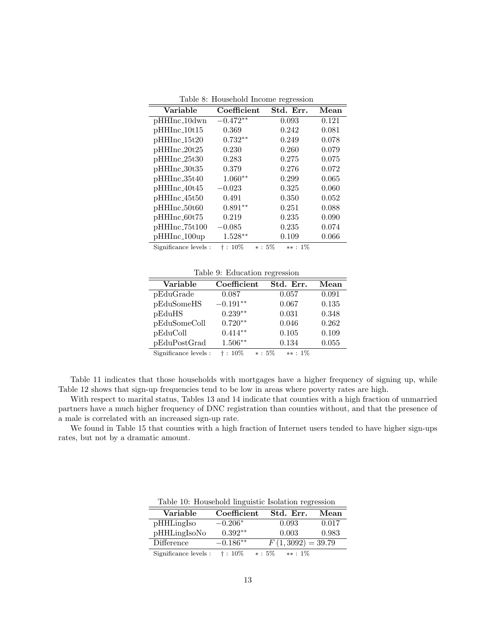| $\sim$ . However, the only regression |             |                        |       |  |  |
|---------------------------------------|-------------|------------------------|-------|--|--|
| Variable                              | Coefficient | Std. Err.              | Mean  |  |  |
| pHHInc_10dwn                          | $-0.472**$  | 0.093                  | 0.121 |  |  |
| pHHInc_10t15                          | 0.369       | 0.242                  | 0.081 |  |  |
| pHHInc_15t20                          | $0.732**$   | 0.249                  | 0.078 |  |  |
| pHHInc_20t25                          | 0.230       | 0.260                  | 0.079 |  |  |
| $pHHInc_25t30$                        | 0.283       | 0.275                  | 0.075 |  |  |
| pHHInc_30t35                          | 0.379       | 0.276                  | 0.072 |  |  |
| pHHInc.35t40                          | $1.060**$   | 0.299                  | 0.065 |  |  |
| pHHInc_40t45                          | $-0.023$    | 0.325                  | 0.060 |  |  |
| pHHInc_45t50                          | 0.491       | 0.350                  | 0.052 |  |  |
| pHHInc_50t60                          | $0.891**$   | 0.251                  | 0.088 |  |  |
| pHHInc_60t75                          | 0.219       | 0.235                  | 0.090 |  |  |
| $pHHInc-75t100$                       | $-0.085$    | 0.235                  | 0.074 |  |  |
| $pHHInc_100up$                        | $1.528**$   | 0.109                  | 0.066 |  |  |
| Significance levels:                  | $:10\%$     | $* : 5\%$<br>$**: 1\%$ |       |  |  |

Table 8: Household Income regression

|  | Table 9: Education regression |  |
|--|-------------------------------|--|
|  |                               |  |

| $\frac{1}{2}$         |                 |                        |       |  |  |
|-----------------------|-----------------|------------------------|-------|--|--|
| Variable              | Coefficient     | Std. Err.              | Mean  |  |  |
| pEduGrade             | 0.087           | 0.057                  | 0.091 |  |  |
| pEduSomeHS            | $-0.191**$      | 0.067                  | 0.135 |  |  |
| pEduHS                | $0.239**$       | 0.031                  | 0.348 |  |  |
| pEduSomeColl          | $0.720**$       | 0.046                  | 0.262 |  |  |
| pEduColl              | $0.414**$       | 0.105                  | 0.109 |  |  |
| pEduPostGrad          | $1.506**$       | 0.134                  | 0.055 |  |  |
| Significance levels : | $\dagger$ : 10% | $* : 5\%$<br>$**: 1\%$ |       |  |  |

Table 11 indicates that those households with mortgages have a higher frequency of signing up, while Table 12 shows that sign-up frequencies tend to be low in areas where poverty rates are high.

With respect to marital status, Tables 13 and 14 indicate that counties with a high fraction of unmarried partners have a much higher frequency of DNC registration than counties without, and that the presence of a male is correlated with an increased sign-up rate.

We found in Table 15 that counties with a high fraction of Internet users tended to have higher sign-ups rates, but not by a dramatic amount.

| Variable     | Coefficient | Std. Err.           | Mean  |  |  |
|--------------|-------------|---------------------|-------|--|--|
| pHHLingIso   | $-0.206*$   | 0.093               | 0.017 |  |  |
| pHHLingIsoNo | $0.392**$   | 0.003               | 0.983 |  |  |
| Difference   | $-0.186**$  | $F(1,3092) = 39.79$ |       |  |  |

Table 10: Household linguistic Isolation regression

Significance levels : † : 10% ∗ : 5% ∗∗ : 1%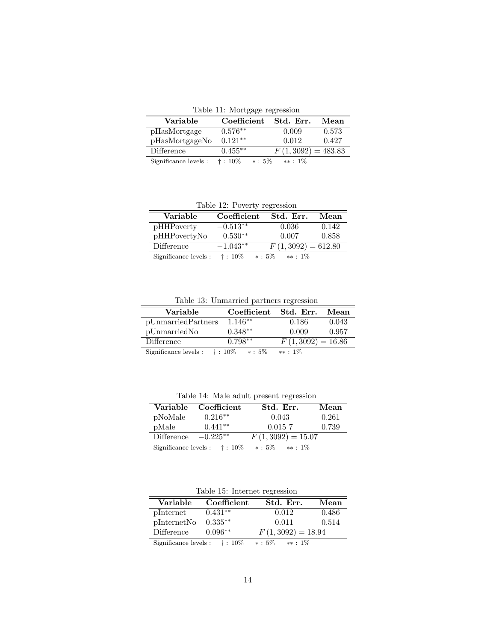Table 11: Mortgage regression

| rapic 11. <i>more</i> subset reservance |                             |                      |       |  |  |  |
|-----------------------------------------|-----------------------------|----------------------|-------|--|--|--|
| Variable                                | Coefficient                 | Std. Err.            | Mean  |  |  |  |
| pHasMortgage                            | $0.576**$                   | 0.009                | 0.573 |  |  |  |
| pHasMortgageNo                          | $0.121**$                   | 0.012                | 0.427 |  |  |  |
| Difference                              | $0.455**$                   | $F(1,3092) = 483.83$ |       |  |  |  |
| Significance levels :                   | $\dagger:10\%$<br>$* : 5\%$ | $**: 1\%$            |       |  |  |  |

Table 12: Poverty regression

| $\frac{1}{2}$         |             |                         |       |  |  |  |
|-----------------------|-------------|-------------------------|-------|--|--|--|
| Variable              | Coefficient | Std. Err.               | Mean  |  |  |  |
| pHHPoverty            | $-0.513**$  | 0.036                   | 0.142 |  |  |  |
| pHHPovertyNo          | $0.530**$   | 0.007                   | 0.858 |  |  |  |
| Difference            | $-1.043**$  | $F(1,3092) = 612.80$    |       |  |  |  |
| Significance levels : | $+:10\%$    | $\ast:5\%$<br>$**: 1\%$ |       |  |  |  |

Table 13: Unmarried partners regression

| Table 10. Chillattica parallels regression |             |                     |       |  |  |  |
|--------------------------------------------|-------------|---------------------|-------|--|--|--|
| Variable                                   | Coefficient | Std. Err.           | Mean  |  |  |  |
| pUnmarriedPartners                         | $1.146**$   | 0.186               | 0.043 |  |  |  |
| pUnmarriedNo                               | $0.348**$   | 0.009               | 0.957 |  |  |  |
| Difference                                 | $0.798**$   | $F(1,3092) = 16.86$ |       |  |  |  |
|                                            |             |                     |       |  |  |  |

Significance levels : † : 10% ∗ : 5% ∗∗ : 1%

Table 14: Male adult present regression

| rabio 11. maio audio probono regression |                                        |                         |       |  |  |  |
|-----------------------------------------|----------------------------------------|-------------------------|-------|--|--|--|
|                                         | Variable Coefficient                   | Std. Err.               | Mean  |  |  |  |
| pNoMale                                 | $0.216**$                              | 0.043                   | 0.261 |  |  |  |
| pMale                                   | $0.441**$                              | $0.015\ 7$              | 0.739 |  |  |  |
| Difference                              | $-0.225**$                             | $F(1,3092) = 15.07$     |       |  |  |  |
|                                         | Significance levels : $\dagger$ : 10\% | $\ast:5\%$<br>$**: 1\%$ |       |  |  |  |

Table 15: Internet regression

| Variable    | Coefficient | Std. Err.            | Mean  |
|-------------|-------------|----------------------|-------|
| pInternet   | $0.431**$   | 0.012                | 0.486 |
| plnternetNo | $0.335**$   | 0.011                | 0.514 |
| Difference  | $0.096**$   | $F(1,3092) = 18.94$  |       |
|             |             | $\sim$ $\sim$ $\sim$ |       |

Significance levels : † : 10% \* : 5% \*\* : 1%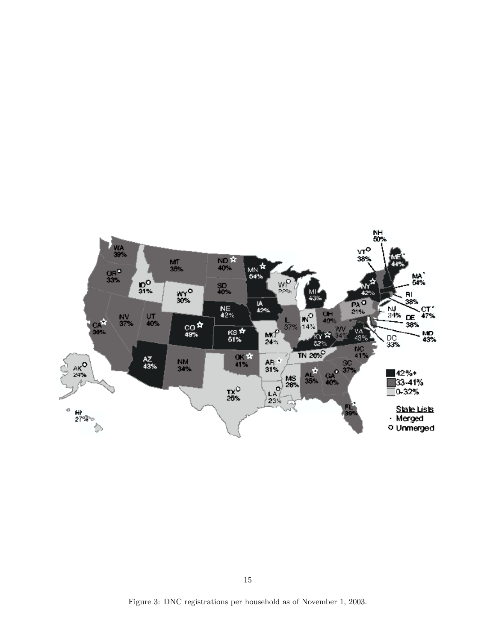

Figure 3: DNC registrations per household as of November 1, 2003.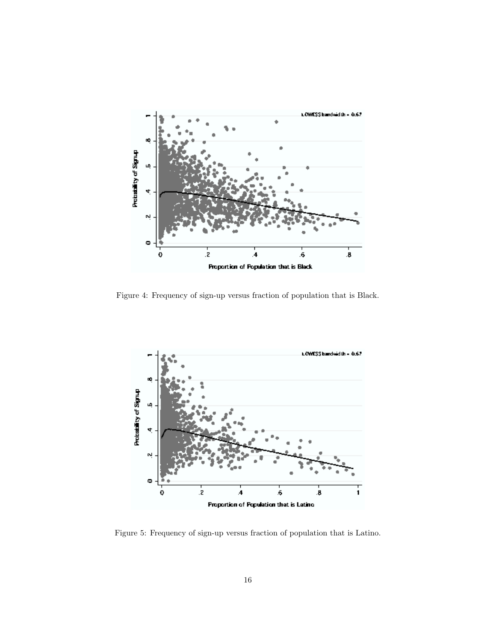

Figure 4: Frequency of sign-up versus fraction of population that is Black.



Figure 5: Frequency of sign-up versus fraction of population that is Latino.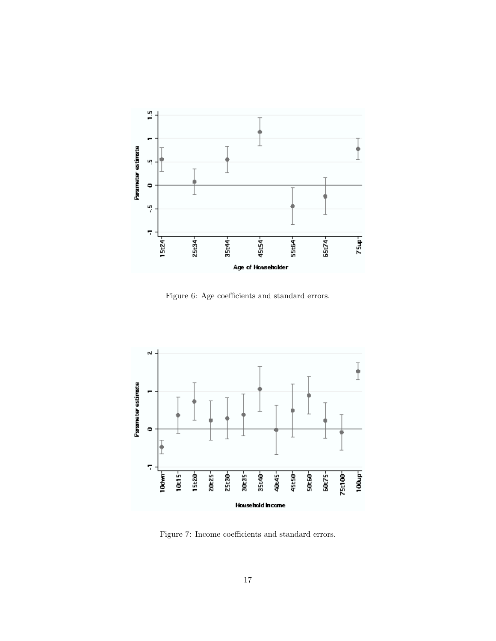

Figure 6: Age coefficients and standard errors.



Figure 7: Income coefficients and standard errors.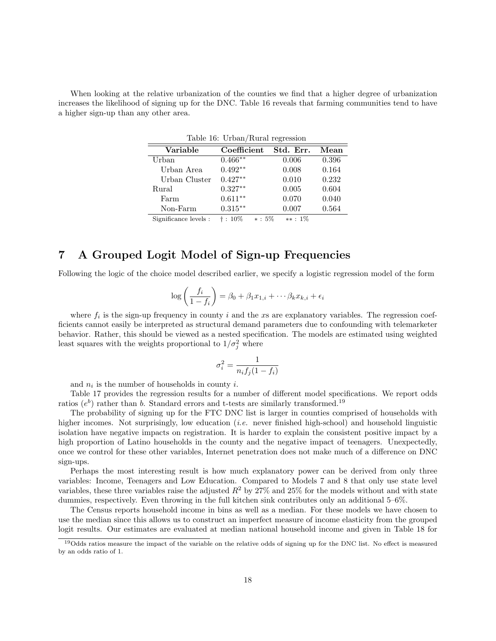When looking at the relative urbanization of the counties we find that a higher degree of urbanization increases the likelihood of signing up for the DNC. Table 16 reveals that farming communities tend to have a higher sign-up than any other area.

| Table 16: Urban/Rural regression |                              |           |       |  |  |  |
|----------------------------------|------------------------------|-----------|-------|--|--|--|
| Variable                         | Coefficient                  | Std. Err. | Mean  |  |  |  |
| Urban                            | $0.466**$                    | 0.006     | 0.396 |  |  |  |
| Urban Area                       | $0.492**$                    | 0.008     | 0.164 |  |  |  |
| Urban Cluster                    | $0.427**$                    | 0.010     | 0.232 |  |  |  |
| Rural                            | $0.327**$                    | 0.005     | 0.604 |  |  |  |
| Farm                             | $0.611**$                    | 0.070     | 0.040 |  |  |  |
| Non-Farm                         | $0.315***$                   | 0.007     | 0.564 |  |  |  |
| Significance levels :            | $* : 5\%$<br>$\dagger$ : 10% | $**: 1\%$ |       |  |  |  |

# 7 A Grouped Logit Model of Sign-up Frequencies

Following the logic of the choice model described earlier, we specify a logistic regression model of the form

$$
\log\left(\frac{f_i}{1-f_i}\right) = \beta_0 + \beta_1 x_{1,i} + \cdots \beta_k x_{k,i} + \epsilon_i
$$

where  $f_i$  is the sign-up frequency in county i and the xs are explanatory variables. The regression coefficients cannot easily be interpreted as structural demand parameters due to confounding with telemarketer behavior. Rather, this should be viewed as a nested specification. The models are estimated using weighted least squares with the weights proportional to  $1/\sigma_j^2$  where

$$
\sigma_i^2 = \frac{1}{n_i f_j (1 - f_i)}
$$

and  $n_i$  is the number of households in county *i*.

Table 17 provides the regression results for a number of different model specifications. We report odds ratios  $(e^b)$  rather than b. Standard errors and t-tests are similarly transformed.<sup>19</sup>

The probability of signing up for the FTC DNC list is larger in counties comprised of households with higher incomes. Not surprisingly, low education *(i.e.* never finished high-school) and household linguistic isolation have negative impacts on registration. It is harder to explain the consistent positive impact by a high proportion of Latino households in the county and the negative impact of teenagers. Unexpectedly, once we control for these other variables, Internet penetration does not make much of a difference on DNC sign-ups.

Perhaps the most interesting result is how much explanatory power can be derived from only three variables: Income, Teenagers and Low Education. Compared to Models 7 and 8 that only use state level variables, these three variables raise the adjusted  $R^2$  by 27% and 25% for the models without and with state dummies, respectively. Even throwing in the full kitchen sink contributes only an additional 5–6%.

The Census reports household income in bins as well as a median. For these models we have chosen to use the median since this allows us to construct an imperfect measure of income elasticity from the grouped logit results. Our estimates are evaluated at median national household income and given in Table 18 for

<sup>19</sup>Odds ratios measure the impact of the variable on the relative odds of signing up for the DNC list. No effect is measured by an odds ratio of 1.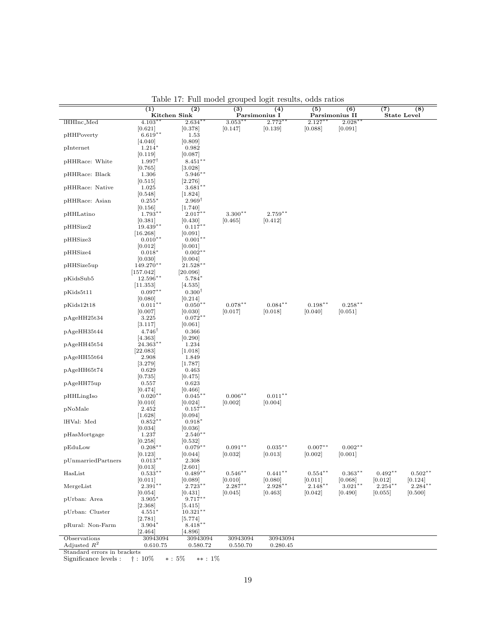|                    | (1)<br>Kitchen Sink          | $\left( 2\right)$    | $\left( 3\right)$ | (4)<br>Parsimonius I | (5)       | (6)<br>Parsimonius II | (7)        | (8)<br><b>State Level</b> |
|--------------------|------------------------------|----------------------|-------------------|----------------------|-----------|-----------------------|------------|---------------------------|
| lHHInc_Med         | $4.103*$                     | $2.634**$            | $3.053*$          | $2.772**$            | $2.127*$  | $2.028**$             |            |                           |
|                    | [0.621]                      | [0.378]              | [0.147]           | [0.139]              | [0.088]   | [0.091]               |            |                           |
| pHHPoverty         | $6.619**$                    | 1.53                 |                   |                      |           |                       |            |                           |
|                    | [4.040]                      | [0.809]<br>0.982     |                   |                      |           |                       |            |                           |
| pInternet          | $1.214*$                     |                      |                   |                      |           |                       |            |                           |
|                    | [0.119]<br>$1.997^{\dagger}$ | [0.087]              |                   |                      |           |                       |            |                           |
| pHHRace: White     | [0.765]                      | $8.451**$<br>[3.028] |                   |                      |           |                       |            |                           |
| pHHRace: Black     | 1.306                        | $5.946**$            |                   |                      |           |                       |            |                           |
|                    | [0.515]                      | [2.276]              |                   |                      |           |                       |            |                           |
| pHHRace: Native    | 1.025                        | $3.681**$            |                   |                      |           |                       |            |                           |
|                    | [0.548]                      | 1.824                |                   |                      |           |                       |            |                           |
| pHHRace: Asian     | $0.255*$                     | $2.969^{\dagger}$    |                   |                      |           |                       |            |                           |
|                    | [0.156]                      | [1.740]              |                   |                      |           |                       |            |                           |
| pHHLatino          | 1.793**                      | $2.017**$            | $3.300**$         | $2.759**$            |           |                       |            |                           |
|                    | 0.381                        | 0.430                | 0.465             | [0.412]              |           |                       |            |                           |
| pHHSize2           | $19.439**$                   | $0.117**$            |                   |                      |           |                       |            |                           |
|                    | 16.268                       | 0.091                |                   |                      |           |                       |            |                           |
| pHHSize3           | $0.010**$                    | $0.001**$            |                   |                      |           |                       |            |                           |
|                    | [0.012]                      | [0.001]              |                   |                      |           |                       |            |                           |
| pHHSize4           | $0.018*$                     | $0.002**$            |                   |                      |           |                       |            |                           |
|                    | 0.030                        | 0.004                |                   |                      |           |                       |            |                           |
| pHHSize5up         | 149.270**                    | $21.528^{\ast\ast}$  |                   |                      |           |                       |            |                           |
|                    | 157.042                      | [20.096]             |                   |                      |           |                       |            |                           |
| pKidsSub5          | 12.596**                     | $5.784*$             |                   |                      |           |                       |            |                           |
|                    | 11.353                       | [4.535]              |                   |                      |           |                       |            |                           |
| pKids5t11          | $0.097**$                    | $0.300^{\dagger}$    |                   |                      |           |                       |            |                           |
|                    | [0.080]                      | [0.214]              | $0.078**$         | $0.084**$            | $0.198**$ | $0.258***$            |            |                           |
| pKids12t18         | $0.011**$                    | $0.050**$            |                   |                      |           | [0.051]               |            |                           |
|                    | [0.007]                      | 0.030 <br>$0.072**$  | [0.017]           | [0.018]              | [0.040]   |                       |            |                           |
| pAgeHH25t34        | 3.225<br>[3.117]             | 0.061                |                   |                      |           |                       |            |                           |
| pAgeHH35t44        | $4.746^{\dagger}$            | 0.366                |                   |                      |           |                       |            |                           |
|                    | [4.363]                      | 0.290                |                   |                      |           |                       |            |                           |
| pAgeHH45t54        | $24.363**$                   | 1.234                |                   |                      |           |                       |            |                           |
|                    | [22.083]                     | 1.018                |                   |                      |           |                       |            |                           |
| pAgeHH55t64        | 2.908                        | 1.849                |                   |                      |           |                       |            |                           |
|                    | 3.279                        | 1.787                |                   |                      |           |                       |            |                           |
| pAgeHH65t74        | 0.629                        | 0.463                |                   |                      |           |                       |            |                           |
|                    | [0.735]                      | 0.475                |                   |                      |           |                       |            |                           |
| pAgeHH75up         | 0.557                        | 0.623                |                   |                      |           |                       |            |                           |
|                    | 0.474                        | 0.466                |                   |                      |           |                       |            |                           |
| pHHLingIso         | $0.020**$                    | $0.045**$            | $0.006**$         | $0.011**$            |           |                       |            |                           |
|                    | 0.010                        | 0.024                | [0.002]           | [0.004]              |           |                       |            |                           |
| pNoMale            | 2.452                        | $0.157**$            |                   |                      |           |                       |            |                           |
|                    | [1.628]                      | 0.094                |                   |                      |           |                       |            |                           |
| IHVal: Med         | $0.852**$                    | $0.918*$             |                   |                      |           |                       |            |                           |
|                    | [0.034]                      | [0.036]              |                   |                      |           |                       |            |                           |
| pHasMortgage       | 1.237                        | $2.540**$            |                   |                      |           |                       |            |                           |
|                    | 0.258                        | 0.532                |                   |                      |           |                       |            |                           |
| pEduLow            | $0.208**$                    | $0.079**$            | $0.091**$         | $0.035***$           | $0.007**$ | $0.002**$             |            |                           |
|                    | [0.123]                      | 0.044                | [0.032]           | [0.013]              | [0.002]   | [0.001]               |            |                           |
| pUnmarriedPartners | $0.013**$                    | 2.308                |                   |                      |           |                       |            |                           |
| HasList            | [0.013]<br>$0.533***$        | [2.601]<br>$0.489**$ | $0.546**$         | $0.441***$           | $0.554**$ | $0.363**$             | $0.492**$  | $0.502**$                 |
|                    | [0.011]                      | 0.089                | [0.010]           | [0.080]              | [0.011]   | [0.068]               | [0.012]    | [0.124]                   |
| MergeList          | $2.391**$                    | $2.723**$            | $2.287**$         | $2.928**$            | $2.148**$ | $3.021***$            | $2.254***$ | $2.284***$                |
|                    | 0.054                        | 0.431                | [0.045]           | [0.463]              | $[0.042]$ | [0.490]               | [0.055]    | [0.500]                   |
| pUrban: Area       | $3.905*$                     | $9.717**$            |                   |                      |           |                       |            |                           |
|                    | [2.368]                      | 5.415                |                   |                      |           |                       |            |                           |
| pUrban: Cluster    | $4.551*$                     | $10.321**$           |                   |                      |           |                       |            |                           |
|                    | [2.781]                      | 5.774                |                   |                      |           |                       |            |                           |
| pRural: Non-Farm   | $3.904*$                     | $8.418***$           |                   |                      |           |                       |            |                           |
|                    | [2.464]                      | [4.896]              |                   |                      |           |                       |            |                           |
| Observations       | 30943094                     | 30943094             | 30943094          | 30943094             |           |                       |            |                           |
|                    |                              |                      |                   | 0.280.45             |           |                       |            |                           |

Table 17: Full model grouped logit results, odds ratios

Standard errors in brackets Significance levels : † : 10% ∗ : 5% ∗∗ : 1%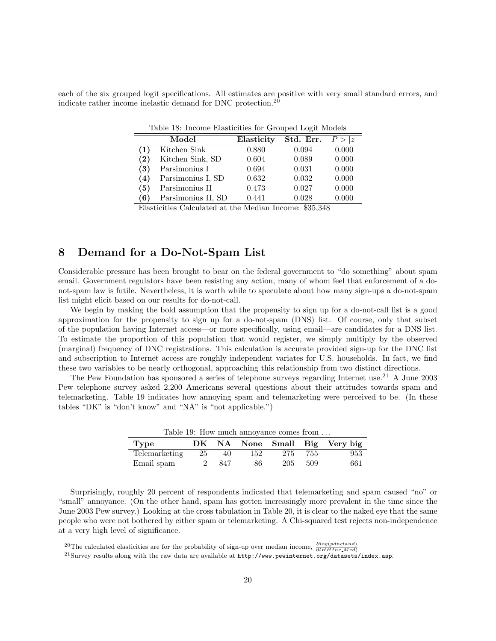each of the six grouped logit specifications. All estimates are positive with very small standard errors, and indicate rather income inelastic demand for DNC protection.<sup>20</sup>

|          | Model              | Elasticity | Std. Err. | z     |
|----------|--------------------|------------|-----------|-------|
|          | Kitchen Sink       | 0.880      | 0.094     | 0.000 |
| $\bf(2)$ | Kitchen Sink, SD   | 0.604      | 0.089     | 0.000 |
| (3)      | Parsimonius I      | 0.694      | 0.031     | 0.000 |
| (4)      | Parsimonius I, SD  | 0.632      | 0.032     | 0.000 |
| (5)      | Parsimonius II     | 0.473      | 0.027     | 0.000 |
| (6)      | Parsimonius II, SD | 0.441      | 0.028     | 0.000 |

Table 18: Income Elasticities for Grouped Logit Models

Elasticities Calculated at the Median Income: \$35,348

## 8 Demand for a Do-Not-Spam List

Considerable pressure has been brought to bear on the federal government to "do something" about spam email. Government regulators have been resisting any action, many of whom feel that enforcement of a donot-spam law is futile. Nevertheless, it is worth while to speculate about how many sign-ups a do-not-spam list might elicit based on our results for do-not-call.

We begin by making the bold assumption that the propensity to sign up for a do-not-call list is a good approximation for the propensity to sign up for a do-not-spam (DNS) list. Of course, only that subset of the population having Internet access—or more specifically, using email—are candidates for a DNS list. To estimate the proportion of this population that would register, we simply multiply by the observed (marginal) frequency of DNC registrations. This calculation is accurate provided sign-up for the DNC list and subscription to Internet access are roughly independent variates for U.S. households. In fact, we find these two variables to be nearly orthogonal, approaching this relationship from two distinct directions.

The Pew Foundation has sponsored a series of telephone surveys regarding Internet use.<sup>21</sup> A June 2003 Pew telephone survey asked 2,200 Americans several questions about their attitudes towards spam and telemarketing. Table 19 indicates how annoying spam and telemarketing were perceived to be. (In these tables "DK" is "don't know" and "NA" is "not applicable.")

| Table 19: How much annoyance comes from |     |     |     |     |     |                            |
|-----------------------------------------|-----|-----|-----|-----|-----|----------------------------|
| Type                                    | DK. |     |     |     |     | NA None Small Big Very big |
| Telemarketing                           | 25  | 40  | 152 | 275 | 755 | 953                        |
| Email spam                              |     | 847 | 86  | 205 | 509 | 661                        |

Surprisingly, roughly 20 percent of respondents indicated that telemarketing and spam caused "no" or "small" annoyance. (On the other hand, spam has gotten increasingly more prevalent in the time since the June 2003 Pew survey.) Looking at the cross tabulation in Table 20, it is clear to the naked eye that the same people who were not bothered by either spam or telemarketing. A Chi-squared test rejects non-independence at a very high level of significance.

<sup>&</sup>lt;sup>20</sup>The calculated elasticities are for the probability of sign-up over median income,  $\frac{\partial log(plancland)}{\partial lHHInc\_Med}$ 

<sup>&</sup>lt;sup>21</sup>Survey results along with the raw data are available at  $http://www.pewinternet.org/datasets/indexasp$ .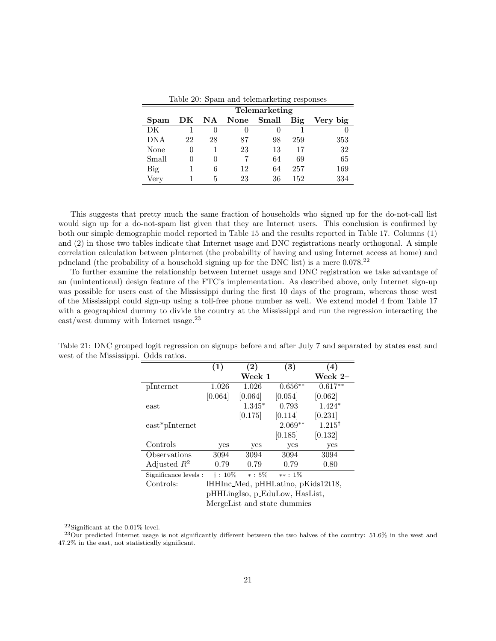| Table 20: Spam and telemarketing responses |                  |                   |                  |    |     |          |  |  |
|--------------------------------------------|------------------|-------------------|------------------|----|-----|----------|--|--|
| Telemarketing                              |                  |                   |                  |    |     |          |  |  |
| Spam                                       |                  |                   | DK NA None Small |    | Big | Very big |  |  |
| DK                                         |                  | $\mathbf{\Omega}$ | $\left( \right)$ |    |     |          |  |  |
| <b>DNA</b>                                 | 22               | 28                | 87               | 98 | 259 | 353      |  |  |
| None                                       | $\Omega$         |                   | 23               | 13 | 17  | 32       |  |  |
| Small                                      | $\left( \right)$ | $\left( \right)$  |                  | 64 | 69  | 65       |  |  |
| Big                                        |                  | 6                 | 12               | 64 | 257 | 169      |  |  |
| Very                                       |                  | 5                 | 23               | 36 | 152 | 334      |  |  |

This suggests that pretty much the same fraction of households who signed up for the do-not-call list would sign up for a do-not-spam list given that they are Internet users. This conclusion is confirmed by both our simple demographic model reported in Table 15 and the results reported in Table 17. Columns (1) and (2) in those two tables indicate that Internet usage and DNC registrations nearly orthogonal. A simple correlation calculation between pInternet (the probability of having and using Internet access at home) and pdncland (the probability of a household signing up for the DNC list) is a mere 0.078.<sup>22</sup>

To further examine the relationship between Internet usage and DNC registration we take advantage of an (unintentional) design feature of the FTC's implementation. As described above, only Internet sign-up was possible for users east of the Mississippi during the first 10 days of the program, whereas those west of the Mississippi could sign-up using a toll-free phone number as well. We extend model 4 from Table 17 with a geographical dummy to divide the country at the Mississippi and run the regression interacting the east/west dummy with Internet usage.<sup>23</sup>

|                                | (1)                                | (2)       | (3)       | (4)               |  |  |  |
|--------------------------------|------------------------------------|-----------|-----------|-------------------|--|--|--|
|                                |                                    | Week 1    |           | Week $2-$         |  |  |  |
| pInternet                      | 1.026                              | 1.026     | $0.656**$ | $0.617**$         |  |  |  |
|                                | [0.064]                            | [0.064]   | [0.054]   | [0.062]           |  |  |  |
| east                           |                                    | $1.345*$  | 0.793     | $1.424*$          |  |  |  |
|                                |                                    | [0.175]   | [0.114]   | [0.231]           |  |  |  |
| east*pInternet                 |                                    |           | $2.069**$ | $1.215^{\dagger}$ |  |  |  |
|                                |                                    |           | [0.185]   | [0.132]           |  |  |  |
| Controls                       | yes                                | yes       | yes       | yes               |  |  |  |
| Observations                   | 3094                               | 3094      | 3094      | 3094              |  |  |  |
| Adjusted $R^2$                 | 0.79                               | 0.79      | 0.79      | 0.80              |  |  |  |
| Significance levels :          | $\dagger$ : 10%                    | $* : 5\%$ | $***:1\%$ |                   |  |  |  |
| Controls:                      | lHHInc_Med, pHHLatino, pKids12t18, |           |           |                   |  |  |  |
| pHHLingIso, p_EduLow, HasList, |                                    |           |           |                   |  |  |  |
| MergeList and state dummies    |                                    |           |           |                   |  |  |  |

Table 21: DNC grouped logit regression on signups before and after July 7 and separated by states east and west of the Mississippi. Odds ratios.

 $^{22}{\rm Significant}$  at the  $0.01\%$  level.

<sup>&</sup>lt;sup>23</sup>Our predicted Internet usage is not significantly different between the two halves of the country: 51.6% in the west and 47.2% in the east, not statistically significant.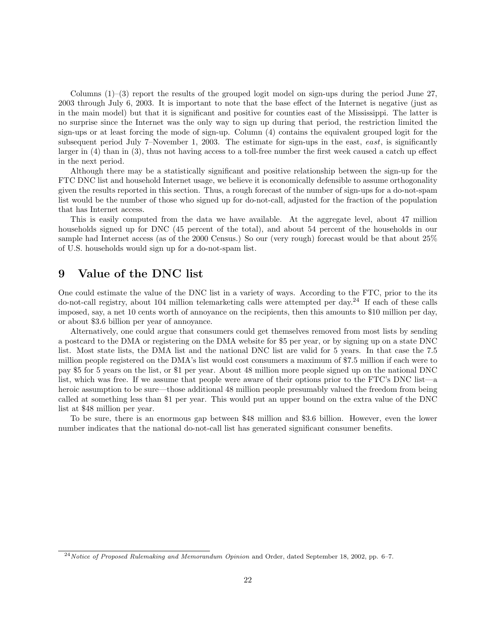Columns  $(1)$ – $(3)$  report the results of the grouped logit model on sign-ups during the period June 27. 2003 through July 6, 2003. It is important to note that the base effect of the Internet is negative (just as in the main model) but that it is significant and positive for counties east of the Mississippi. The latter is no surprise since the Internet was the only way to sign up during that period, the restriction limited the sign-ups or at least forcing the mode of sign-up. Column (4) contains the equivalent grouped logit for the subsequent period July 7–November 1, 2003. The estimate for sign-ups in the east, east, is significantly larger in (4) than in (3), thus not having access to a toll-free number the first week caused a catch up effect in the next period.

Although there may be a statistically significant and positive relationship between the sign-up for the FTC DNC list and household Internet usage, we believe it is economically defensible to assume orthogonality given the results reported in this section. Thus, a rough forecast of the number of sign-ups for a do-not-spam list would be the number of those who signed up for do-not-call, adjusted for the fraction of the population that has Internet access.

This is easily computed from the data we have available. At the aggregate level, about 47 million households signed up for DNC (45 percent of the total), and about 54 percent of the households in our sample had Internet access (as of the 2000 Census.) So our (very rough) forecast would be that about 25% of U.S. households would sign up for a do-not-spam list.

#### 9 Value of the DNC list

One could estimate the value of the DNC list in a variety of ways. According to the FTC, prior to the its do-not-call registry, about 104 million telemarketing calls were attempted per day.<sup>24</sup> If each of these calls imposed, say, a net 10 cents worth of annoyance on the recipients, then this amounts to \$10 million per day, or about \$3.6 billion per year of annoyance.

Alternatively, one could argue that consumers could get themselves removed from most lists by sending a postcard to the DMA or registering on the DMA website for \$5 per year, or by signing up on a state DNC list. Most state lists, the DMA list and the national DNC list are valid for 5 years. In that case the 7.5 million people registered on the DMA's list would cost consumers a maximum of \$7.5 million if each were to pay \$5 for 5 years on the list, or \$1 per year. About 48 million more people signed up on the national DNC list, which was free. If we assume that people were aware of their options prior to the FTC's DNC list—a heroic assumption to be sure—those additional 48 million people presumably valued the freedom from being called at something less than \$1 per year. This would put an upper bound on the extra value of the DNC list at \$48 million per year.

To be sure, there is an enormous gap between \$48 million and \$3.6 billion. However, even the lower number indicates that the national do-not-call list has generated significant consumer benefits.

<sup>24</sup>Notice of Proposed Rulemaking and Memorandum Opinion and Order, dated September 18, 2002, pp. 6–7.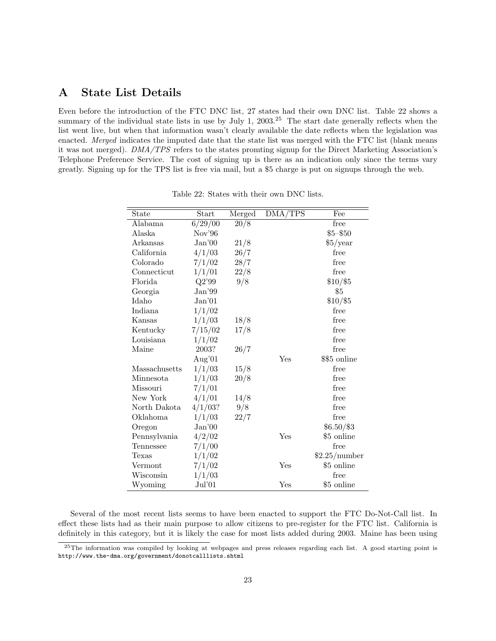# A State List Details

Even before the introduction of the FTC DNC list, 27 states had their own DNC list. Table 22 shows a summary of the individual state lists in use by July 1, 2003.<sup>25</sup> The start date generally reflects when the list went live, but when that information wasn't clearly available the date reflects when the legislation was enacted. Merged indicates the imputed date that the state list was merged with the FTC list (blank means it was not merged). DMA/TPS refers to the states promting signup for the Direct Marketing Association's Telephone Preference Service. The cost of signing up is there as an indication only since the terms vary greatly. Signing up for the TPS list is free via mail, but a \$5 charge is put on signups through the web.

| State         | Start             | Merged | DMA/TPS | Fee           |
|---------------|-------------------|--------|---------|---------------|
| Alabama       | 6/29/00           | 20/8   |         | free          |
| Alaska        | Nov <sup>36</sup> |        |         | $$5 - $50$    |
| Arkansas      | Jan'00            | 21/8   |         | \$5/year      |
| California    | 4/1/03            | 26/7   |         | free          |
| Colorado      | 7/1/02            | 28/7   |         | free          |
| Connecticut   | 1/1/01            | 22/8   |         | free          |
| Florida       | Q2'99             | 9/8    |         | $$10/$ \$5    |
| Georgia       | Jan'99            |        |         | \$5           |
| Idaho         | Jan'01            |        |         | $$10/$ \$5    |
| Indiana       | 1/1/02            |        |         | free          |
| Kansas        | 1/1/03            | 18/8   |         | free          |
| Kentucky      | 7/15/02           | 17/8   |         | free          |
| Louisiana     | 1/1/02            |        |         | free          |
| Maine         | 2003?             | 26/7   |         | free          |
|               | Aug' $01$         |        | Yes     | \$\$5 online  |
| Massachusetts | 1/1/03            | 15/8   |         | free          |
| Minnesota     | 1/1/03            | 20/8   |         | free          |
| Missouri      | 7/1/01            |        |         | free          |
| New York      | 4/1/01            | 14/8   |         | free          |
| North Dakota  | 4/1/03?           | 9/8    |         | free          |
| Oklahoma      | 1/1/03            | 22/7   |         | free          |
| Oregon        | Jan'00            |        |         | $$6.50/\$3$   |
| Pennsylvania  | 4/2/02            |        | Yes     | \$5 online    |
| Tennessee     | 7/1/00            |        |         | free          |
| Texas         | 1/1/02            |        |         | \$2.25/number |
| $\rm Vermont$ | 7/1/02            |        | Yes     | \$5 online    |
| Wisconsin     | 1/1/03            |        |         | free          |
| Wyoming       | $\mathrm{Jul'}01$ |        | Yes     | \$5 online    |

Table 22: States with their own DNC lists.

Several of the most recent lists seems to have been enacted to support the FTC Do-Not-Call list. In effect these lists had as their main purpose to allow citizens to pre-register for the FTC list. California is definitely in this category, but it is likely the case for most lists added during 2003. Maine has been using

<sup>&</sup>lt;sup>25</sup>The information was compiled by looking at webpages and press releases regarding each list. A good starting point is http://www.the-dma.org/government/donotcalllists.shtml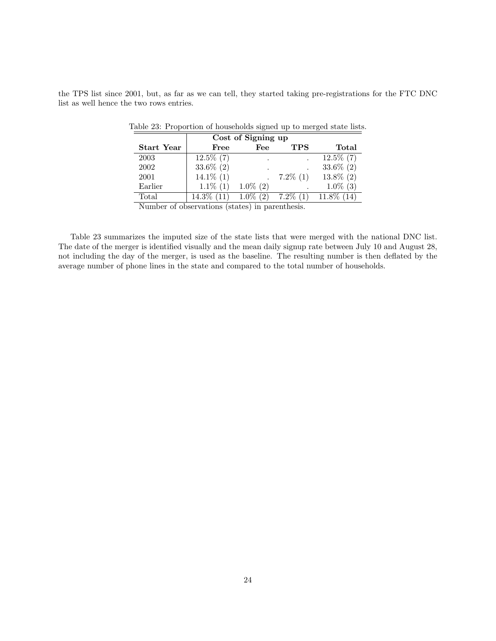the TPS list since 2001, but, as far as we can tell, they started taking pre-registrations for the FTC DNC list as well hence the two rows entries.

|                   | Cost of Signing up |             |                 |              |  |  |
|-------------------|--------------------|-------------|-----------------|--------------|--|--|
| <b>Start Year</b> | Free               | Fee         | <b>TPS</b>      | Total        |  |  |
| 2003              | $12.5\%$ (7)       |             |                 | $12.5\%$ (7) |  |  |
| 2002              | $33.6\%$ (2)       |             |                 | $33.6\%$ (2) |  |  |
| 2001              | $14.1\%$ (1)       |             | $7.2\%$ (1)     | $13.8\%$ (2) |  |  |
| Earlier           | $1.1\%$            | $1.0\%$ (2) |                 | $1.0\%$      |  |  |
| Total             | $14.3\%$           | $1.0\%$     | $7.2\%$         | $11.8\%$     |  |  |
| $\epsilon$        | $\cdot$ .          |             | $\cdot$ $\cdot$ |              |  |  |

Table 23: Proportion of households signed up to merged state lists.

Number of observations (states) in parenthesis.

Table 23 summarizes the imputed size of the state lists that were merged with the national DNC list. The date of the merger is identified visually and the mean daily signup rate between July 10 and August 28, not including the day of the merger, is used as the baseline. The resulting number is then deflated by the average number of phone lines in the state and compared to the total number of households.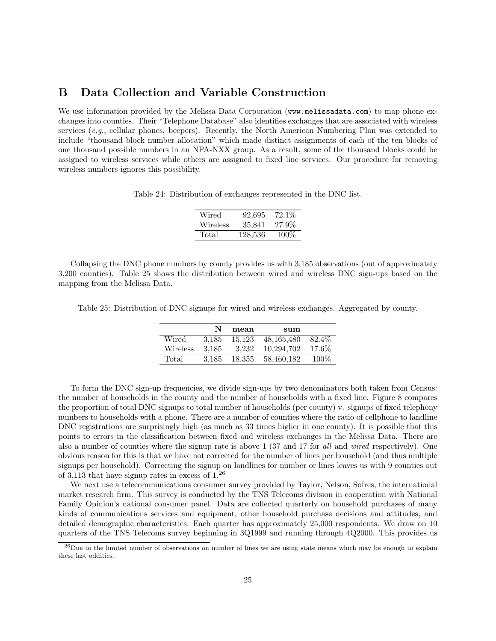## B Data Collection and Variable Construction

We use information provided by the Melissa Data Corporation (www.melissadata.com) to map phone exchanges into counties. Their "Telephone Database" also identifies exchanges that are associated with wireless services (e.g., cellular phones, beepers). Recently, the North American Numbering Plan was extended to include "thousand block number allocation" which made distinct assignments of each of the ten blocks of one thousand possible numbers in an NPA-NXX group. As a result, some of the thousand blocks could be assigned to wireless services while others are assigned to fixed line services. Our procedure for removing wireless numbers ignores this possibility.

Table 24: Distribution of exchanges represented in the DNC list.

| Wired    | 92,695  | 72.1% |
|----------|---------|-------|
| Wireless | 35,841  | 27.9% |
| Total    | 128,536 | 100%  |

Collapsing the DNC phone numbers by county provides us with 3,185 observations (out of approximately 3,200 counties). Table 25 shows the distribution between wired and wireless DNC sign-ups based on the mapping from the Melissa Data.

Table 25: Distribution of DNC signups for wired and wireless exchanges. Aggregated by county.

|          | N     | mean   | sum          |         |
|----------|-------|--------|--------------|---------|
| Wired    | 3.185 | 15.123 | 48, 165, 480 | 82.4\%  |
| Wireless | 3.185 | 3.232  | 10.294.702   | 17.6%   |
| Total    | 3.185 | 18.355 | 58,460,182   | $100\%$ |

To form the DNC sign-up frequencies, we divide sign-ups by two denominators both taken from Census: the number of households in the county and the number of households with a fixed line. Figure 8 compares the proportion of total DNC signups to total number of households (per county) v. signups of fixed telephony numbers to households with a phone. There are a number of counties where the ratio of cellphone to landline DNC registrations are surprisingly high (as much as 33 times higher in one county). It is possible that this points to errors in the classification between fixed and wireless exchanges in the Melissa Data. There are also a number of counties where the signup rate is above 1 (37 and 17 for all and wired respectively). One obvious reason for this is that we have not corrected for the number of lines per household (and thus multiple signups per household). Correcting the signup on landlines for number or lines leaves us with 9 counties out of 3,113 that have signup rates in excess of 1.<sup>26</sup>

We next use a telecommunications consumer survey provided by Taylor, Nelson, Sofres, the international market research firm. This survey is conducted by the TNS Telecoms division in cooperation with National Family Opinion's national consumer panel. Data are collected quarterly on household purchases of many kinds of communications services and equipment, other household purchase decisions and attitudes, and detailed demographic characteristics. Each quarter has approximately 25,000 respondents. We draw on 10 quarters of the TNS Telecoms survey beginning in 3Q1999 and running through 4Q2000. This provides us

<sup>&</sup>lt;sup>26</sup>Due to the limited number of observations on number of lines we are using state means which may be enough to explain these last oddities.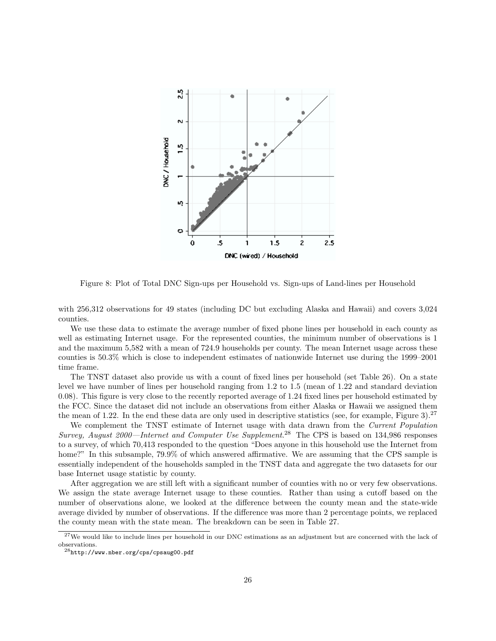

Figure 8: Plot of Total DNC Sign-ups per Household vs. Sign-ups of Land-lines per Household

with 256,312 observations for 49 states (including DC but excluding Alaska and Hawaii) and covers 3,024 counties.

We use these data to estimate the average number of fixed phone lines per household in each county as well as estimating Internet usage. For the represented counties, the minimum number of observations is 1 and the maximum 5,582 with a mean of 724.9 households per county. The mean Internet usage across these counties is 50.3% which is close to independent estimates of nationwide Internet use during the 1999–2001 time frame.

The TNST dataset also provide us with a count of fixed lines per household (set Table 26). On a state level we have number of lines per household ranging from 1.2 to 1.5 (mean of 1.22 and standard deviation 0.08). This figure is very close to the recently reported average of 1.24 fixed lines per household estimated by the FCC. Since the dataset did not include an observations from either Alaska or Hawaii we assigned them the mean of 1.22. In the end these data are only used in descriptive statistics (see, for example, Figure 3).<sup>27</sup>

We complement the TNST estimate of Internet usage with data drawn from the *Current Population* Survey, August 2000—Internet and Computer Use Supplement.<sup>28</sup> The CPS is based on 134,986 responses to a survey, of which 70,413 responded to the question "Does anyone in this household use the Internet from home?" In this subsample, 79.9% of which answered affirmative. We are assuming that the CPS sample is essentially independent of the households sampled in the TNST data and aggregate the two datasets for our base Internet usage statistic by county.

After aggregation we are still left with a significant number of counties with no or very few observations. We assign the state average Internet usage to these counties. Rather than using a cutoff based on the number of observations alone, we looked at the difference between the county mean and the state-wide average divided by number of observations. If the difference was more than 2 percentage points, we replaced the county mean with the state mean. The breakdown can be seen in Table 27.

<sup>&</sup>lt;sup>27</sup>We would like to include lines per household in our DNC estimations as an adjustment but are concerned with the lack of observations.

 $^{28}\mathrm{http://www.nber.org/cps/cpsaug00.pdf}$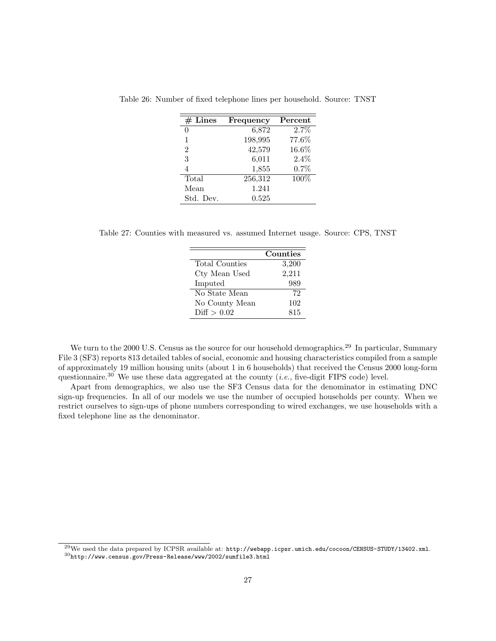| $#$ Lines      | Frequency | Percent |
|----------------|-----------|---------|
| 0              | 6,872     | 2.7%    |
| 1              | 198,995   | 77.6%   |
| $\overline{2}$ | 42,579    | 16.6%   |
| 3              | 6,011     | $2.4\%$ |
| 4              | 1,855     | 0.7%    |
| Total          | 256,312   | 100%    |
| Mean           | 1.241     |         |
| Std. Dev.      | 0.525     |         |

Table 26: Number of fixed telephone lines per household. Source: TNST

Table 27: Counties with measured vs. assumed Internet usage. Source: CPS, TNST

|                       | Counties |
|-----------------------|----------|
| <b>Total Counties</b> | 3,200    |
| Cty Mean Used         | 2,211    |
| Imputed               | 989      |
| No State Mean         | 72       |
| No County Mean        | 102      |
| Diff > 0.02           | 815      |

We turn to the 2000 U.S. Census as the source for our household demographics.<sup>29</sup> In particular, Summary File 3 (SF3) reports 813 detailed tables of social, economic and housing characteristics compiled from a sample of approximately 19 million housing units (about 1 in 6 households) that received the Census 2000 long-form questionnaire.<sup>30</sup> We use these data aggregated at the county (*i.e.*, five-digit FIPS code) level.

Apart from demographics, we also use the SF3 Census data for the denominator in estimating DNC sign-up frequencies. In all of our models we use the number of occupied households per county. When we restrict ourselves to sign-ups of phone numbers corresponding to wired exchanges, we use households with a fixed telephone line as the denominator.

<sup>29</sup>We used the data prepared by ICPSR available at: http://webapp.icpsr.umich.edu/cocoon/CENSUS-STUDY/13402.xml. <sup>30</sup>http://www.census.gov/Press-Release/www/2002/sumfile3.html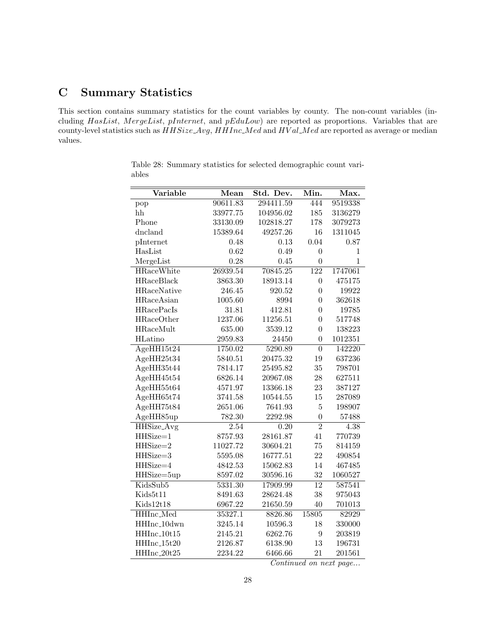# C Summary Statistics

This section contains summary statistics for the count variables by county. The non-count variables (including HasList, MergeList, pInternet, and  $pEduLow$ ) are reported as proportions. Variables that are county-level statistics such as  $HHSize \_{Avg}$ ,  $HHInc \_{Med}$  and  $HVal \_{Med}$  are reported as average or median values.

| Variable          | $\overline{\text{Mean}}$ | Std. Dev. | Min.             | $\overline{\text{Max}}$ . |
|-------------------|--------------------------|-----------|------------------|---------------------------|
| pop               | 90611.83                 | 294411.59 | 444              | 9519338                   |
| hh                | 33977.75                 | 104956.02 | 185              | 3136279                   |
| Phone             | 33130.09                 | 102818.27 | 178              | 3079273                   |
| dncland           | 15389.64                 | 49257.26  | 16               | 1311045                   |
| pInternet         | 0.48                     | 0.13      | 0.04             | 0.87                      |
| HasList           | $\rm 0.62$               | 0.49      | $\boldsymbol{0}$ | 1                         |
| MergeList         | 0.28                     | 0.45      | $\overline{0}$   | 1                         |
| <b>HRaceWhite</b> | 26939.54                 | 70845.25  | $\overline{122}$ | 1747061                   |
| <b>HRaceBlack</b> | 3863.30                  | 18913.14  | $\boldsymbol{0}$ | 475175                    |
| HRaceNative       | 246.45                   | 920.52    | $\overline{0}$   | 19922                     |
| HRaceAsian        | 1005.60                  | 8994      | $\boldsymbol{0}$ | 362618                    |
| <b>HRacePacIs</b> | 31.81                    | 412.81    | $\overline{0}$   | 19785                     |
| HRaceOther        | 1237.06                  | 11256.51  | $\overline{0}$   | 517748                    |
| HRaceMult         | 635.00                   | 3539.12   | $\boldsymbol{0}$ | 138223                    |
| HLatino           | 2959.83                  | $24450\,$ | $\overline{0}$   | 1012351                   |
| AgeHH15t24        | 1750.02                  | 5290.89   | $\overline{0}$   | 142220                    |
| AgeHH25t34        | 5840.51                  | 20475.32  | 19               | 637236                    |
| AgeHH35t44        | 7814.17                  | 25495.82  | 35               | 798701                    |
| AgeHH45t54        | 6826.14                  | 20967.08  | 28               | 627511                    |
| AgeHH55t64        | 4571.97                  | 13366.18  | 23               | 387127                    |
| AgeHH65t74        | 3741.58                  | 10544.55  | 15               | 287089                    |
| AgeHH75t84        | 2651.06                  | 7641.93   | $\overline{5}$   | 198907                    |
| AgeHH85up         | 782.30                   | 2292.98   | $\boldsymbol{0}$ | 57488                     |
| <b>HHSize_Avg</b> | 2.54                     | 0.20      | $\overline{2}$   | 4.38                      |
| HHSize=1          | 8757.93                  | 28161.87  | 41               | 770739                    |
| HHSize=2          | 11027.72                 | 30604.21  | 75               | 814159                    |
| HHSize=3          | 5595.08                  | 16777.51  | 22               | 490854                    |
| HHSize=4          | 4842.53                  | 15062.83  | 14               | 467485                    |
| HHSize=5up        | 8597.02                  | 30596.16  | 32               | 1060527                   |
| KidsSub5          | 5331.30                  | 17909.99  | $\overline{12}$  | 587541                    |
| Kids5t11          | 8491.63                  | 28624.48  | 38               | 975043                    |
| Kids12t18         | 6967.22                  | 21650.59  | 40               | 701013                    |
| <b>HHInc_Med</b>  | 35327.1                  | 8826.86   | 15805            | 82929                     |
| HHInc_10dwn       | 3245.14                  | 10596.3   | 18               | 330000                    |
| HHInc_10t15       | 2145.21                  | 6262.76   | 9                | 203819                    |
| HHInc_15t20       | 2126.87                  | 6138.90   | 13               | 196731                    |
| HHInc_20t25       | 2234.22                  | 6466.66   | 21               | 201561                    |

Table 28: Summary statistics for selected demographic count variables

Continued on next page...